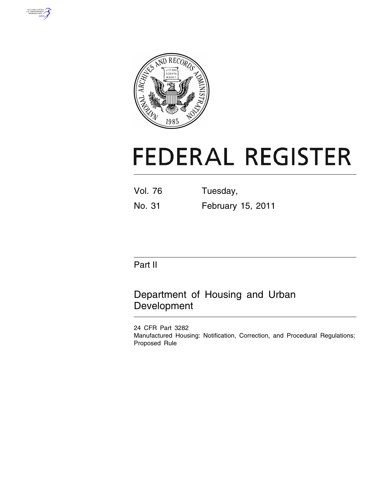



# **FEDERAL REGISTER**

| <b>Vol. 76</b> | Tuesday, |
|----------------|----------|
|                |          |

No. 31 February 15, 2011

# Part II

# Department of Housing and Urban Development

24 CFR Part 3282 Manufactured Housing: Notification, Correction, and Procedural Regulations; Proposed Rule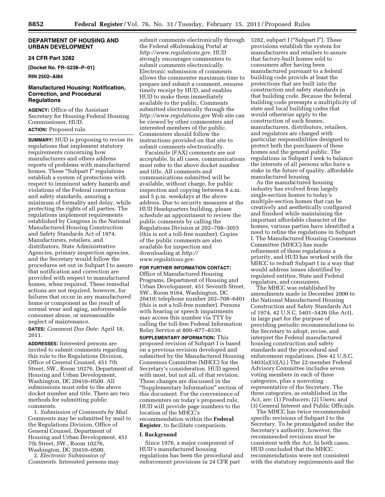# **DEPARTMENT OF HOUSING AND URBAN DEVELOPMENT**

# **24 CFR Part 3282**

**[Docket No. FR–5238–P–01]** 

# **RIN 2502–AI84**

# **Manufactured Housing: Notification, Correction, and Procedural Regulations**

**AGENCY:** Office of the Assistant Secretary for Housing-Federal Housing Commissioner, HUD. **ACTION:** Proposed rule.

**SUMMARY:** HUD is proposing to revise its regulations that implement statutory requirements concerning how manufacturers and others address reports of problems with manufactured homes. These "Subpart I" regulations establish a system of protections with respect to imminent safety hazards and violations of the Federal construction and safety standards, assuring a minimum of formality and delay, while protecting the rights of all parties. The regulations implement requirements established by Congress in the National Manufactured Housing Construction and Safety Standards Act of 1974. Manufacturers, retailers, and distributors, State Administrative Agencies, primary inspection agencies, and the Secretary would follow the procedures set out in Subpart I to assure that notification and correction are provided with respect to manufactured homes, when required. These remedial actions are not required, however, for failures that occur in any manufactured home or component as the result of normal wear and aging, unforeseeable consumer abuse, or unreasonable neglect of maintenance.

**DATES:** *Comment Due Date:* April 18, 2011.

**ADDRESSES:** Interested persons are invited to submit comments regarding this rule to the Regulations Division, Office of General Counsel, 451 7th Street, SW., Room 10276, Department of Housing and Urban Development, Washington, DC 20410–0500. All submissions must refer to the above docket number and title. There are two methods for submitting public comments.

1. *Submission of Comments by Mail.*  Comments may be submitted by mail to the Regulations Division, Office of General Counsel, Department of Housing and Urban Development, 451 7th Street, SW., Room 10276, Washington, DC 20410–0500. 2. *Electronic Submission of* 

*Comments.* Interested persons may

submit comments electronically through the Federal eRulemaking Portal at *[http://www.regulations.gov.](http://www.regulations.gov)* HUD strongly encourages commenters to submit comments electronically. Electronic submission of comments allows the commenter maximum time to prepare and submit a comment, ensures timely receipt by HUD, and enables HUD to make them immediately available to the public. Comments submitted electronically through the *<http://www.regulations.gov>* Web site can be viewed by other commenters and interested members of the public. Commenters should follow the instructions provided on that site to submit comments electronically.

Facsimile (FAX) comments are not acceptable. In all cases, communications must refer to the above docket number and title. All comments and communications submitted will be available, without charge, for public inspection and copying between 8 a.m. and 5 p.m. weekdays at the above address. Due to security measures at the HUD Headquarters building, please schedule an appointment to review the public comments by calling the Regulations Division at 202–708–3055 (this is not a toll-free number). Copies of the public comments are also available for inspection and downloading at *[http://](http://www.regulations.gov) [www.regulations.gov.](http://www.regulations.gov)* 

# **FOR FURTHER INFORMATION CONTACT:**

Office of Manufactured Housing Programs, Department of Housing and Urban Development, 451 Seventh Street, SW., Room 9164, Washington, DC 20410; telephone number 202–708–6401 (this is not a toll-free number). Persons with hearing or speech impairments may access this number via TTY by calling the toll-free Federal Information Relay Service at 800–877–8339.

**SUPPLEMENTARY INFORMATION:** This proposed revision of Subpart I is based on a previous revision developed and submitted by the Manufactured Housing Consensus Committee (MHCC) for the Secretary's consideration. HUD agreed with most, but not all, of that revision. These changes are discussed in the ''Supplementary Information'' section of this document. For the convenience of commenters on today's proposed rule, HUD will provide page numbers to the location of the MHCC's recommendation within the **Federal Register**, to facilitate comparison.

#### **I. Background**

Since 1976, a major component of HUD's manufactured housing regulations has been the procedural and enforcement provisions in 24 CFR part

3282, subpart I ("Subpart I"). These provisions establish the system for manufacturers and retailers to assure that factory-built homes sold to consumers after having been manufactured pursuant to a federal building code provide at least the protections that are built into the construction and safety standards in that building code. Because the federal building code preempts a multiplicity of state and local building codes that would otherwise apply to the construction of such homes, manufacturers, distributors, retailers, and regulators are charged with particular responsibilities designed to protect both the purchasers of these homes and the general public. The regulations in Subpart I seek to balance the interests of all persons who have a stake in the future of quality, affordable manufactured housing.

As the manufactured housing industry has evolved from largely single-section homes to today's multiple-section homes that can be creatively and aesthetically configured and finished while maintaining the important affordable character of the homes, various parties have identified a need to refine the regulations in Subpart I. The Manufactured Housing Consensus Committee (MHCC) has made refinement of these regulations a priority, and HUD has worked with the MHCC to redraft Subpart I in a way that would address issues identified by regulated entities, State and Federal regulators, and consumers.

The MHCC was established by amendments made in December 2000 to the National Manufactured Housing Construction and Safety Standards Act of 1974, 42 U.S.C. 5401–5426 (the Act), in large part for the purpose of providing periodic recommendations to the Secretary to adopt, revise, and interpret the Federal manufactured housing construction and safety standards and the procedural and enforcement regulations. (See 42 U.S.C. 5403(a)(3)(A).) The 22-member Federal Advisory Committee includes seven voting members in each of three categories, plus a nonvoting representative of the Secretary. The three categories, as established in the Act, are: (1) Producers; (2) Users; and (3) General Interest and Public Officials.

The MHCC has twice recommended specific revisions of Subpart I to the Secretary. To be promulgated under the Secretary's authority, however, the recommended revisions must be consistent with the Act. In both cases, HUD concluded that the MHCC recommendations were not consistent with the statutory requirements and the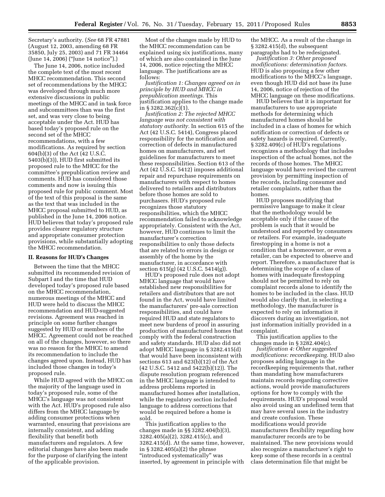Secretary's authority. (*See* 68 FR 47881 (August 12, 2003, amending 68 FR 35850, July 25, 2003) and 71 FR 34464 (June 14, 2006) (''June 14 notice'').)

The June 14, 2006, notice included the complete text of the most recent MHCC recommendation. This second set of recommendations by the MHCC was developed through much more extensive discussions in public meetings of the MHCC and in task force and subcommittees than was the first set, and was very close to being acceptable under the Act. HUD has based today's proposed rule on the second set of the MHCC recommendations, with a few modifications. As required by section 604(b)(3) of the Act (42 U.S.C. 5403(b)(3)), HUD first submitted its proposed rule to the MHCC for the committee's prepublication review and comments. HUD has considered those comments and now is issuing this proposed rule for public comment. Most of the text of this proposal is the same as the text that was included in the MHCC proposal submitted to HUD, as published in the June 14, 2006 notice. HUD believes that today's proposed rule provides clearer regulatory structure and appropriate consumer protection provisions, while substantially adopting the MHCC recommendation.

#### **II. Reasons for HUD's Changes**

Between the time that the MHCC submitted its recommended revision of Subpart I and the time that HUD developed today's proposed rule based on the MHCC recommendation, numerous meetings of the MHCC and HUD were held to discuss the MHCC recommendation and HUD-suggested revisions. Agreement was reached in principle on some further changes suggested by HUD or members of the MHCC. Agreement could not be reached on all of the changes, however, so there was no reason for the MHCC to amend its recommendation to include the changes agreed upon. Instead, HUD has included those changes in today's proposed rule.

While HUD agreed with the MHCC on the majority of the language used in today's proposed rule, some of the MHCC's language was not consistent with the Act. HUD's proposed rule also differs from the MHCC language by adding consumer protections when warranted, ensuring that provisions are internally consistent, and adding flexibility that benefit both manufacturers and regulators. A few editorial changes have also been made for the purpose of clarifying the intent of the applicable provision.

Most of the changes made by HUD to the MHCC recommendation can be explained using six justifications, many of which are also contained in the June 14, 2006, notice rejecting the MHCC language. The justifications are as follows:

*Justification 1: Changes agreed on in principle by HUD and MHCC in prepublication meetings.* This justification applies to the change made in § 3282.362(c)(1).

*Justification 2: The rejected MHCC language was not consistent with statutory authority.* In section 615 of the Act (42 U.S.C. 5414), Congress placed responsibility for the notification and correction of defects in manufactured homes on manufacturers, and set guidelines for manufacturers to meet these responsibilities. Section 613 of the Act (42 U.S.C. 5412) imposes additional repair and repurchase requirements on manufacturers with respect to homes delivered to retailers and distributors before those homes are sold to purchasers. HUD's proposed rule recognizes those statutory responsibilities, which the MHCC recommendation failed to acknowledge appropriately. Consistent with the Act, however, HUD continues to limit the manufacturer's correction responsibilities to only those defects that are related to errors in design or assembly of the home by the manufacturer, in accordance with section 615(g) (42 U.S.C. 5414(g)).

HUD's proposed rule does not adopt MHCC language that would have established new responsibilities for retailers and distributors that are not found in the Act, would have limited the manufacturers' pre-sale correction responsibilities, and could have required HUD and state regulators to meet new burdens of proof in assuring production of manufactured homes that comply with the federal construction and safety standards. HUD also did not adopt MHCC language in § 3282.415(d) that would have been inconsistent with sections 613 and 623(b)(12) of the Act (42 U.S.C. 5412 and 5422(b)(12)). The dispute resolution program referenced in the MHCC language is intended to address problems reported in manufactured homes after installation, while the regulatory section included language to address corrections that would be required before a home is sold.

This justification applies to the changes made in §§ 3282.404(b)(3), 3282.405(a)(2), 3282.415(c), and 3282.415(d). At the same time, however, in § 3282.405(a)(2) the phrase ''introduced systematically'' was inserted, by agreement in principle with

the MHCC. As a result of the change in § 3282.415(d), the subsequent paragraphs had to be redesignated.

*Justification 3: Other proposed modifications: determination factors.*  HUD is also proposing a few other modifications to the MHCC's language, even though HUD did not base its June 14, 2006, notice of rejection of the MHCC language on these modifications.

HUD believes that it is important for manufacturers to use appropriate methods for determining which manufactured homes should be included in a class of homes for which notification or correction of defects or safety hazards is required. Currently, § 3282.409(c) of HUD's regulations recognizes a methodology that includes inspection of the actual homes, not the records of those homes. The MHCC language would have revised the current provision by permitting inspection of the records, including consumer and retailer complaints, rather than the homes.

HUD proposes modifying that permissive language to make it clear that the methodology would be acceptable only if the cause of the problem is such that it would be understood and reported by consumers or retailers. For example, inadequate firestopping in a home is not a condition that a homeowner, or even a retailer, can be expected to observe and report. Therefore, a manufacturer that is determining the scope of a class of homes with inadequate firestopping should not be permitted to rely on complaint records alone to identify the homes to be included in the class. HUD would also clarify that, in selecting a methodology, the manufacturer is expected to rely on information it discovers during an investigation, not just information initially provided in a complaint.

This justification applies to the changes made in  $\S 3282.404(c)$ .

*Justification 4: Other suggested modifications: recordkeeping.* HUD also proposes adding language in the recordkeeping requirements that, rather than mandating how manufacturers maintain records regarding corrective actions, would provide manufacturers options for how to comply with the requirements. HUD's proposal would also avoid using an undefined term that may have several uses in the industry and create confusion. These modifications would provide manufacturers flexibility regarding how manufacturer records are to be maintained. The new provisions would also recognize a manufacturer's right to keep some of these records in a central class determination file that might be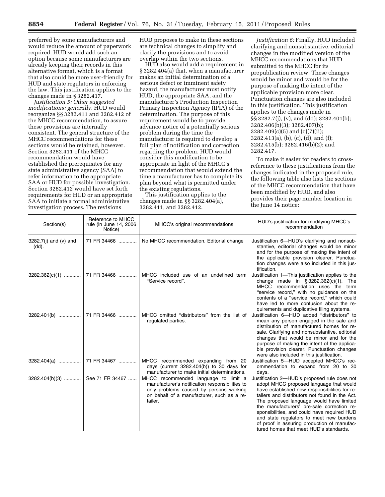preferred by some manufacturers and would reduce the amount of paperwork required. HUD would add such an option because some manufacturers are already keeping their records in this alternative format, which is a format that also could be more user-friendly for HUD and state regulators in enforcing the law. This justification applies to the changes made in § 3282.417.

*Justification 5: Other suggested modifications: generally.* HUD would reorganize §§ 3282.411 and 3282.412 of the MHCC recommendation, to assure these provisions are internally consistent. The general structure of the MHCC recommendations for these sections would be retained, however. Section 3282.411 of the MHCC recommendation would have established the prerequisites for any state administrative agency (SAA) to refer information to the appropriate SAA or HUD for possible investigation. Section 3282.412 would have set forth requirements for HUD or an appropriate SAA to initiate a formal administrative investigation process. The revisions

HUD proposes to make in these sections are technical changes to simplify and clarify the provisions and to avoid overlap within the two sections.

HUD also would add a requirement in § 3282.404(a) that, when a manufacturer makes an initial determination of a serious defect or imminent safety hazard, the manufacturer must notify HUD, the appropriate SAA, and the manufacturer's Production Inspection Primary Inspection Agency (IPIA) of the determination. The purpose of this requirement would be to provide advance notice of a potentially serious problem during the time the manufacturer is required to develop a full plan of notification and correction regarding the problem. HUD would consider this modification to be appropriate in light of the MHCC's recommendation that would extend the time a manufacturer has to complete its plan beyond what is permitted under the existing regulations.

This justification applies to the changes made in §§ 3282.404(a), 3282.411, and 3282.412.

*Justification 6:* Finally, HUD included clarifying and nonsubstantive, editorial changes in the modified version of the MHCC recommendations that HUD submitted to the MHCC for its prepublication review. These changes would be minor and would be for the purpose of making the intent of the applicable provision more clear. Punctuation changes are also included in this justification. This justification applies to the changes made in §§ 3282.7(j), (v), and (dd); 3282.401(b); 3282.406(b)(3); 3282.407(b); 3282.409(c)(5) and (c)(7)(ii); 3282.413(a), (b), (c), (d), and (f); 3282.415(b); 3282.416(b)(2); and 3282.417.

To make it easier for readers to crossreference to these justifications from the changes indicated in the proposed rule, the following table also lists the sections of the MHCC recommendation that have been modified by HUD, and also provides their page number location in the June 14 notice:

| Section(s)                        | Reference to MHCC<br>rule (in June 14, 2006<br>Notice) | MHCC's original recommendations                                                                                                                                                             | HUD's justification for modifying MHCC's<br>recommendation                                                                                                                                                                                                                                                                                                                                                                                                               |
|-----------------------------------|--------------------------------------------------------|---------------------------------------------------------------------------------------------------------------------------------------------------------------------------------------------|--------------------------------------------------------------------------------------------------------------------------------------------------------------------------------------------------------------------------------------------------------------------------------------------------------------------------------------------------------------------------------------------------------------------------------------------------------------------------|
| $3282.7(i)$ and (v) and<br>(dd).  | 71 FR 34466                                            | No MHCC recommendation. Editorial change                                                                                                                                                    | Justification 6-HUD's clarifying and nonsub-<br>stantive, editorial changes would be minor<br>and for the purpose of making the intent of<br>the applicable provision clearer. Punctua-<br>tion changes were also included in this jus-<br>tification.                                                                                                                                                                                                                   |
|                                   | 3282.362(c)(1)  71 FR 34466                            | MHCC included use of an undefined term<br>"Service record".                                                                                                                                 | Justification 1—This justification applies to the<br>change made in $\S 3282.362(c)(1)$ . The<br>MHCC recommendation uses the term<br>"service record," with no guidance on the<br>contents of a "service record," which could<br>have led to more confusion about the re-<br>quirements and duplicative filing systems.                                                                                                                                                 |
|                                   |                                                        | MHCC omitted "distributors" from the list of<br>requlated parties.                                                                                                                          | Justification 6-HUD added "distributors" to<br>mean any person engaged in the sale and<br>distribution of manufactured homes for re-<br>sale. Clarifying and nonsubstantive, editorial<br>changes that would be minor and for the<br>purpose of making the intent of the applica-<br>ble provision clearer. Punctuation changes<br>were also included in this justification.                                                                                             |
|                                   |                                                        | MHCC recommended expanding from 20<br>days (current $3282.404(b)$ ) to 30 days for<br>manufacturer to make initial determinations.                                                          | Justification 5-HUD accepted MHCC's rec-<br>ommendation to expand from 20 to 30<br>days.                                                                                                                                                                                                                                                                                                                                                                                 |
| 3282.404(b)(3)    See 71 FR 34467 |                                                        | MHCC recommended language to limit a<br>manufacturer's notification responsibilities to<br>only problems caused by persons working<br>on behalf of a manufacturer, such as a re-<br>tailer. | Justification 2-HUD's proposed rule does not<br>adopt MHCC proposed language that would<br>have established new responsibilities for re-<br>tailers and distributors not found in the Act.<br>The proposed language would have limited<br>the manufacturers' pre-sale correction re-<br>sponsibilities, and could have required HUD<br>and state regulators to meet new burdens<br>of proof in assuring production of manufac-<br>tured homes that meet HUD's standards. |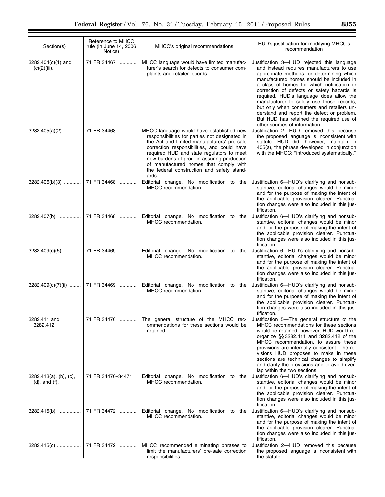| Section(s)                                    | Reference to MHCC<br>rule (in June 14, 2006<br>Notice) | MHCC's original recommendations                                                                                                                                                                                                                                                                                                                                                       | HUD's justification for modifying MHCC's<br>recommendation                                                                                                                                                                                                                                                                                                                                                                                                                                                                                   |
|-----------------------------------------------|--------------------------------------------------------|---------------------------------------------------------------------------------------------------------------------------------------------------------------------------------------------------------------------------------------------------------------------------------------------------------------------------------------------------------------------------------------|----------------------------------------------------------------------------------------------------------------------------------------------------------------------------------------------------------------------------------------------------------------------------------------------------------------------------------------------------------------------------------------------------------------------------------------------------------------------------------------------------------------------------------------------|
| $3282.404(c)(1)$ and<br>$(c)(2)(iii)$ .       | 71 FR 34467                                            | MHCC language would have limited manufac-<br>turer's search for defects to consumer com-<br>plaints and retailer records.                                                                                                                                                                                                                                                             | Justification 3—HUD rejected this language<br>and instead requires manufacturers to use<br>appropriate methods for determining which<br>manufactured homes should be included in<br>a class of homes for which notification or<br>correction of defects or safety hazards is<br>required. HUD's language does allow the<br>manufacturer to solely use those records,<br>but only when consumers and retailers un-<br>derstand and report the defect or problem.<br>But HUD has retained the required use of<br>other sources of information. |
|                                               |                                                        | MHCC language would have established new<br>responsibilities for parties not designated in<br>the Act and limited manufacturers' pre-sale<br>correction responsibilities, and could have<br>required HUD and state regulators to meet<br>new burdens of proof in assuring production<br>of manufactured homes that comply with<br>the federal construction and safety stand-<br>ards. | Justification 2-HUD removed this because<br>the proposed language is inconsistent with<br>statute. HUD did, however, maintain in<br>405(a), the phrase developed in conjunction<br>with the MHCC: "introduced systematically."                                                                                                                                                                                                                                                                                                               |
|                                               | 3282.406(b)(3)  71 FR 34468                            | Editorial change. No modification to the<br>MHCC recommendation.                                                                                                                                                                                                                                                                                                                      | Justification 6-HUD's clarifying and nonsub-<br>stantive, editorial changes would be minor<br>and for the purpose of making the intent of<br>the applicable provision clearer. Punctua-<br>tion changes were also included in this jus-<br>tification.                                                                                                                                                                                                                                                                                       |
|                                               |                                                        | Editorial change. No modification to the<br>MHCC recommendation.                                                                                                                                                                                                                                                                                                                      | Justification 6-HUD's clarifying and nonsub-<br>stantive, editorial changes would be minor<br>and for the purpose of making the intent of<br>the applicable provision clearer. Punctua-<br>tion changes were also included in this jus-<br>tification.                                                                                                                                                                                                                                                                                       |
|                                               |                                                        | Editorial change. No modification to the<br>MHCC recommendation.                                                                                                                                                                                                                                                                                                                      | Justification 6-HUD's clarifying and nonsub-<br>stantive, editorial changes would be minor<br>and for the purpose of making the intent of<br>the applicable provision clearer. Punctua-<br>tion changes were also included in this jus-<br>tification.                                                                                                                                                                                                                                                                                       |
|                                               | 3282.409(c)(7)(ii)  71 FR 34469                        | Editorial change. No modification to the<br>MHCC recommendation.                                                                                                                                                                                                                                                                                                                      | Justification 6-HUD's clarifying and nonsub-<br>stantive, editorial changes would be minor<br>and for the purpose of making the intent of<br>the applicable provision clearer. Punctua-<br>tion changes were also included in this jus-<br>tification.                                                                                                                                                                                                                                                                                       |
| 3282.411 and<br>3282.412.                     | 71 FR 34470                                            | The general structure of the MHCC rec-<br>ommendations for these sections would be<br>retained.                                                                                                                                                                                                                                                                                       | Justification 5—The general structure of the<br>MHCC recommendations for these sections<br>would be retained; however, HUD would re-<br>organize §§3282.411 and 3282.412 of the<br>MHCC recommendation, to assure these<br>provisions are internally consistent. The re-<br>visions HUD proposes to make in these<br>sections are technical changes to simplify<br>and clarify the provisions and to avoid over-<br>lap within the two sections.                                                                                             |
| 3282.413(a), (b), (c),<br>$(d)$ , and $(f)$ . | 71 FR 34470-34471                                      | Editorial change. No modification to the<br>MHCC recommendation.                                                                                                                                                                                                                                                                                                                      | Justification 6-HUD's clarifying and nonsub-<br>stantive, editorial changes would be minor<br>and for the purpose of making the intent of<br>the applicable provision clearer. Punctua-<br>tion changes were also included in this jus-<br>tification.                                                                                                                                                                                                                                                                                       |
|                                               |                                                        | Editorial change. No modification to the<br>MHCC recommendation.                                                                                                                                                                                                                                                                                                                      | Justification 6-HUD's clarifying and nonsub-<br>stantive, editorial changes would be minor<br>and for the purpose of making the intent of<br>the applicable provision clearer. Punctua-<br>tion changes were also included in this jus-<br>tification.                                                                                                                                                                                                                                                                                       |
|                                               |                                                        | MHCC recommended eliminating phrases to<br>limit the manufacturers' pre-sale correction<br>responsibilities.                                                                                                                                                                                                                                                                          | Justification 2-HUD removed this because<br>the proposed language is inconsistent with<br>the statute.                                                                                                                                                                                                                                                                                                                                                                                                                                       |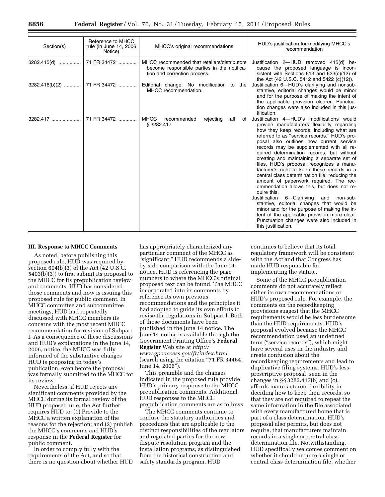| Section(s)               | Reference to MHCC<br>rule (in June 14, 2006)<br>Notice) | MHCC's original recommendations                                                                                             | HUD's justification for modifying MHCC's<br>recommendation                                                                                                                                                                                                                                                                                                                                                                                                                                                                                                                                                                                                                                                                                                                                                                                                                                                                                                                                                                                                                                                                                      |
|--------------------------|---------------------------------------------------------|-----------------------------------------------------------------------------------------------------------------------------|-------------------------------------------------------------------------------------------------------------------------------------------------------------------------------------------------------------------------------------------------------------------------------------------------------------------------------------------------------------------------------------------------------------------------------------------------------------------------------------------------------------------------------------------------------------------------------------------------------------------------------------------------------------------------------------------------------------------------------------------------------------------------------------------------------------------------------------------------------------------------------------------------------------------------------------------------------------------------------------------------------------------------------------------------------------------------------------------------------------------------------------------------|
| 3282.415(d)  71 FR 34472 |                                                         | MHCC recommended that retailers/distributors<br>become responsible parties in the notifica-<br>tion and correction process. | Justification 2-HUD removed 415(d) be-<br>cause the proposed language is incon-<br>sistent with Sections 613 and $623(c)(12)$ of<br>the Act (42 U.S.C. 5412 and 5422 (c)(12)).                                                                                                                                                                                                                                                                                                                                                                                                                                                                                                                                                                                                                                                                                                                                                                                                                                                                                                                                                                  |
|                          |                                                         | $3282.416(b)(2)$ 71 FR 34472  Editorial change. No modification to the<br>MHCC recommendation.                              | Justification 6-HUD's clarifying and nonsub-<br>stantive, editorial changes would be minor<br>and for the purpose of making the intent of<br>the applicable provision clearer. Punctua-<br>tion changes were also included in this jus-<br>tification.<br>Justification 4-HUD's modifications would<br>provide manufacturers flexibility regarding<br>how they keep records, including what are<br>referred to as "service records." HUD's pro-<br>posal also outlines how current service<br>records may be supplemented with all re-<br>quired determination records, but without<br>creating and maintaining a separate set of<br>files. HUD's proposal recognizes a manu-<br>facturer's right to keep these records in a<br>central class determination file, reducing the<br>amount of paperwork required. The rec-<br>ommendation allows this, but does not re-<br>quire this.<br>Justification 6-Clarifying and non-sub-<br>stantive, editorial changes that would be<br>minor and for the purpose of making the in-<br>tent of the applicable provision more clear.<br>Punctuation changes were also included in<br>this justification. |
|                          |                                                         | <b>MHCC</b><br>recommended<br>rejecting<br>all<br>of<br>§3282.417.                                                          |                                                                                                                                                                                                                                                                                                                                                                                                                                                                                                                                                                                                                                                                                                                                                                                                                                                                                                                                                                                                                                                                                                                                                 |

#### **III. Response to MHCC Comments**

As noted, before publishing this proposed rule, HUD was required by section 604(b)(3) of the Act (42 U.S.C. 5403(b)(3)) to first submit its proposal to the MHCC for its prepublication review and comments. HUD has considered those comments and now is issuing this proposed rule for public comment. In MHCC committee and subcommittee meetings, HUD had repeatedly discussed with MHCC members its concerns with the most recent MHCC recommendation for revision of Subpart I. As a consequence of these discussions and HUD's explanations in the June 14, 2006, notice, the MHCC was fully informed of the substantive changes HUD is proposing in today's publication, even before the proposal was formally submitted to the MHCC for its review.

Nevertheless, if HUD rejects any significant comments provided by the MHCC during its formal review of the HUD proposed rule, the Act further requires HUD to: (1) Provide to the MHCC a written explanation of the reasons for the rejection; and (2) publish the MHCC's comments and HUD's response in the **Federal Register** for public comment.

In order to comply fully with the requirements of the Act, and so that there is no question about whether HUD

has appropriately characterized any particular comment of the MHCC as ''significant,'' HUD recommends a sideby-side comparison with the June 14 notice. HUD is referencing the page numbers to where the MHCC's original proposed text can be found. The MHCC incorporated into its comments by reference its own previous recommendations and the principles it had adopted to guide its own efforts to revise the regulations in Subpart I. Both of those documents have been published in the June 14 notice. The June 14 notice is available through the Government Printing Office's **Federal Register** Web site at *[http://](http://www.gpoaccess.gov/fr/index.html)  [www.gpoaccess.gov/fr/index.html](http://www.gpoaccess.gov/fr/index.html)*  (search using the citation ''71 FR 34464, June 14, 2006'').

This preamble and the changes indicated in the proposed rule provide HUD's primary response to the MHCC prepublication comments. Additional HUD responses to the MHCC prepublication comments are as follows:

The MHCC comments continue to confuse the statutory authorities and procedures that are applicable to the distinct responsibilities of the regulators and regulated parties for the new dispute resolution program and the installation programs, as distinguished from the historical construction and safety standards program. HUD

continues to believe that its total regulatory framework will be consistent with the Act and that Congress has made HUD responsible for implementing the statute.

Some of the MHCC prepublication comments do not accurately reflect either its own recommendations or HUD's proposed rule. For example, the comments on the recordkeeping provisions suggest that the MHCC requirements would be less burdensome than the HUD requirements. HUD's proposal evolved because the MHCC recommendation used an undefined term (''service records''), which might have several uses in the industry and create confusion about the recordkeeping requirements and lead to duplicative filing systems. HUD's lessprescriptive proposal, seen in the changes in §§ 3282.417(b) and (c), affords manufacturers flexibility in deciding how to keep their records, so that they are not required to repeat the same information in the file associated with every manufactured home that is part of a class determination. HUD's proposal also permits, but does not require, that manufacturers maintain records in a single or central class determination file. Notwithstanding, HUD specifically welcomes comment on whether it should require a single or central class determination file, whether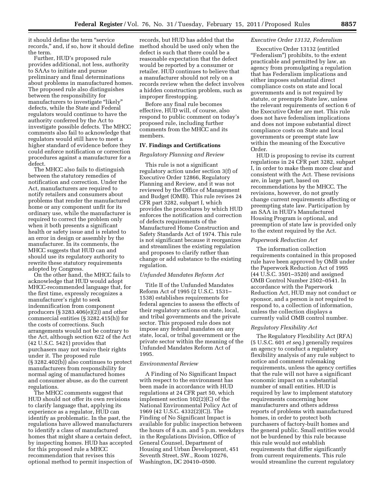it should define the term ''service records,'' and, if so, how it should define the term.

Further, HUD's proposed rule provides additional, not less, authority to SAAs to initiate and pursue preliminary and final determinations about problems in manufactured homes. The proposed rule also distinguishes between the responsibility for manufacturers to investigate "likely" defects, while the State and Federal regulators would continue to have the authority conferred by the Act to investigate possible defects. The MHCC comments also fail to acknowledge that regulators would still have to meet a higher standard of evidence before they could enforce notification or correction procedures against a manufacturer for a defect.

The MHCC also fails to distinguish between the statutory remedies of notification and correction. Under the Act, manufacturers are required to notify retailers and consumers about problems that render the manufactured home or any component unfit for its ordinary use, while the manufacturer is required to correct the problem only when it both presents a significant health or safety issue and is related to an error in design or assembly by the manufacturer. In its comments, the MHCC suggests that HUD can and should use its regulatory authority to rewrite these statutory requirements adopted by Congress.

On the other hand, the MHCC fails to acknowledge that HUD would adopt MHCC-recommended language that, for the first time, expressly recognizes a manufacturer's right to seek indemnification from component producers (§ 3283.406(e)(2)) and other commercial entities (§ 3282.415(h)) for the costs of corrections. Such arrangements would not be contrary to the Act, although section 622 of the Act (42 U.S.C. 5421) provides that purchasers may not waive their rights under it. The proposed rule (§ 3282.402(b)) also continues to protect manufacturers from responsibility for normal aging of manufactured homes and consumer abuse, as do the current regulations.

The MHCC comments suggest that HUD should not offer its own revisions to clarify language that, applying its experience as a regulator, HUD can identify as problematic. In the past, the regulations have allowed manufacturers to identify a class of manufactured homes that might share a certain defect, by inspecting homes. HUD has accepted for this proposed rule a MHCC recommendation that revises this optional method to permit inspection of

records, but HUD has added that the method should be used only when the defect is such that there could be a reasonable expectation that the defect would be reported by a consumer or retailer. HUD continues to believe that a manufacturer should not rely on a records review when the defect involves a hidden construction problem, such as improper firestopping.

Before any final rule becomes effective, HUD will, of course, also respond to public comment on today's proposed rule, including further comments from the MHCC and its members.

# **IV. Findings and Certifications**

#### *Regulatory Planning and Review*

This rule is not a significant regulatory action under section 3(f) of Executive Order 12866, Regulatory Planning and Review, and it was not reviewed by the Office of Management and Budget (OMB). This rule revises 24 CFR part 3282, subpart I, which provides the procedures by which HUD enforces the notification and correction of defects requirements of the Manufactured Home Construction and Safety Standards Act of 1974. This rule is not significant because it reorganizes and streamlines the existing regulation and proposes to clarify rather than change or add substance to the existing regulation.

## *Unfunded Mandates Reform Act*

Title II of the Unfunded Mandates Reform Act of 1995 (2 U.S.C. 1531– 1538) establishes requirements for federal agencies to assess the effects of their regulatory actions on state, local, and tribal governments and the private sector. This proposed rule does not impose any federal mandates on any state, local, or tribal government or the private sector within the meaning of the Unfunded Mandates Reform Act of 1995.

#### *Environmental Review*

A Finding of No Significant Impact with respect to the environment has been made in accordance with HUD regulations at 24 CFR part 50, which implement section 102(2)(C) of the National Environmental Policy Act of 1969 (42 U.S.C. 4332(2)(C)). The Finding of No Significant Impact is available for public inspection between the hours of 8 a.m. and 5 p.m. weekdays in the Regulations Division, Office of General Counsel, Department of Housing and Urban Development, 451 Seventh Street, SW., Room 10276, Washington, DC 20410–0500.

# *Executive Order 13132, Federalism*

Executive Order 13132 (entitled "Federalism") prohibits, to the extent practicable and permitted by law, an agency from promulgating a regulation that has Federalism implications and either imposes substantial direct compliance costs on state and local governments and is not required by statute, or preempts State law, unless the relevant requirements of section 6 of the Executive Order are met. This rule does not have federalism implications and does not impose substantial direct compliance costs on State and local governments or preempt state law within the meaning of the Executive Order.

HUD is proposing to revise its current regulations in 24 CFR part 3282, subpart I, in order to make them more clear and consistent with the Act. These revisions are, in large part, based on recommendations by the MHCC. The revisions, however, do not greatly change current requirements affecting or preempting state law. Participation by an SAA in HUD's Manufactured Housing Program is optional, and preemption of state law is provided only to the extent required by the Act.

#### *Paperwork Reduction Act*

The information collection requirements contained in this proposed rule have been approved by OMB under the Paperwork Reduction Act of 1995 (44 U.S.C. 3501–3520) and assigned OMB Control Number 2502–0541. In accordance with the Paperwork Reduction Act, HUD may not conduct or sponsor, and a person is not required to respond to, a collection of information, unless the collection displays a currently valid OMB control number.

#### *Regulatory Flexibility Act*

The Regulatory Flexibility Act (RFA) (5 U.S.C. 601 *et seq.*) generally requires an agency to conduct a regulatory flexibility analysis of any rule subject to notice and comment rulemaking requirements, unless the agency certifies that the rule will not have a significant economic impact on a substantial number of small entities. HUD is required by law to implement statutory requirements concerning how manufacturers and others address reports of problems with manufactured homes, in order to protect both purchasers of factory-built homes and the general public. Small entities would not be burdened by this rule because this rule would not establish requirements that differ significantly from current requirements. This rule would streamline the current regulatory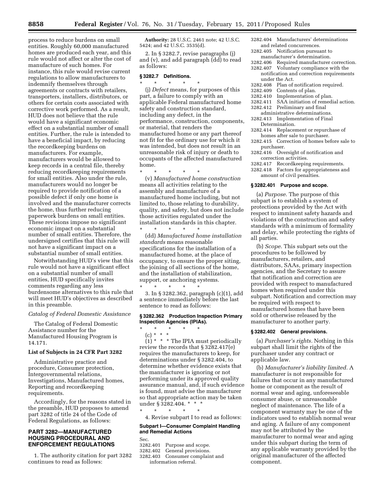process to reduce burdens on small entities. Roughly 60,000 manufactured homes are produced each year, and this rule would not affect or alter the cost of manufacture of such homes. For instance, this rule would revise current regulations to allow manufacturers to indemnify themselves through agreements or contracts with retailers, transporters, installers, distributors, or others for certain costs associated with corrective work performed. As a result, HUD does not believe that the rule would have a significant economic effect on a substantial number of small entities. Further, the rule is intended to have a beneficial impact, by reducing the recordkeeping burdens on manufacturers. For example, manufacturers would be allowed to keep records in a central file, thereby reducing recordkeeping requirements for small entities. Also under the rule, manufacturers would no longer be required to provide notification of a possible defect if only one home is involved and the manufacturer corrects the home, thus further reducing paperwork burdens on small entities. These revisions impose no significant economic impact on a substantial number of small entities. Therefore, the undersigned certifies that this rule will not have a significant impact on a substantial number of small entities.

Notwithstanding HUD's view that this rule would not have a significant effect on a substantial number of small entities, HUD specifically invites comments regarding any less burdensome alternatives to this rule that will meet HUD's objectives as described in this preamble.

## *Catalog of Federal Domestic Assistance*

The Catalog of Federal Domestic Assistance number for the Manufactured Housing Program is 14.171.

#### **List of Subjects in 24 CFR Part 3282**

Administrative practice and procedure, Consumer protection, Intergovernmental relations, Investigations, Manufactured homes, Reporting and recordkeeping requirements.

Accordingly, for the reasons stated in the preamble, HUD proposes to amend part 3282 of title 24 of the Code of Federal Regulations, as follows:

# **PART 3282—MANUFACTURED HOUSING PROCEDURAL AND ENFORCEMENT REGULATIONS**

1. The authority citation for part 3282 continues to read as follows:

**Authority:** 28 U.S.C. 2461 note; 42 U.S.C. 5424; and 42 U.S.C. 3535(d).

2. In § 3282.7, revise paragraphs (j) and (v), and add paragraph (dd) to read as follows:

## **§ 3282.7 Definitions.**  \* \* \* \* \*

(j) *Defect* means, for purposes of this part, a failure to comply with an applicable Federal manufactured home safety and construction standard, including any defect, in the performance, construction, components, or material, that renders the manufactured home or any part thereof not fit for the ordinary use for which it was intended, but does not result in an unreasonable risk of injury or death to occupants of the affected manufactured home.

\* \* \* \* \* (v) *Manufactured home construction*  means all activities relating to the assembly and manufacture of a manufactured home including, but not limited to, those relating to durability, quality, and safety, but does not include those activities regulated under the installation standards in this chapter. \* \* \* \* \*

(dd) *Manufactured home installation standards* means reasonable specifications for the installation of a manufactured home, at the place of occupancy, to ensure the proper siting, the joining of all sections of the home, and the installation of stabilization, support, or anchoring systems.

\* \* \* \* \* 3. In § 3282.362, paragraph (c)(1), add a sentence immediately before the last sentence to read as follows:

# **§ 3282.362 Production Inspection Primary Inspection Agencies (IPIAs).**

\* \* \* \* \*

(c) \* \* \*  $(1)$  \* \* \* The IPIA must periodically review the records that § 3282.417(e) requires the manufacturers to keep, for determinations under § 3282.404, to determine whether evidence exists that the manufacturer is ignoring or not performing under its approved quality assurance manual, and, if such evidence is found, must advise the manufacturer so that appropriate action may be taken under § 3282.404. \* \* \*

\* \* \* \* \* 4. Revise subpart I to read as follows:

# **Subpart I—Consumer Complaint Handling and Remedial Actions**

Sec.

- 3282.401 Purpose and scope.<br>3282.402 General provisions
- General provisions.
- 3282.403 Consumer complaint and information referral.
- 3282.404 Manufacturers' determinations and related concurrences.
- 3282.405 Notification pursuant to manufacturer's determination.
- 3282.406 Required manufacturer correction.<br>3282.407 Voluntary compliance with the
- Voluntary compliance with the
- notification and correction requirements under the Act.
- 3282.408 Plan of notification required.
- 3282.409 Contents of plan.
- Implementation of plan.
- 3282.411 SAA initiation of remedial action.
- 3282.412 Preliminary and final administrative determinations.
- 3282.413 Implementation of Final Determination.
- 3282.414 Replacement or repurchase of
- homes after sale to purchaser.
- 3282.415 Correction of homes before sale to purchaser.
- 3282.416 Oversight of notification and correction activities.
- 3282.417 Recordkeeping requirements. 3282.418 Factors for appropriateness and amount of civil penalties.

#### **§ 3282.401 Purpose and scope.**

(a) *Purpose.* The purpose of this subpart is to establish a system of protections provided by the Act with respect to imminent safety hazards and violations of the construction and safety standards with a minimum of formality and delay, while protecting the rights of all parties.

(b) *Scope.* This subpart sets out the procedures to be followed by manufacturers, retailers, and distributors, SAAs, primary inspection agencies, and the Secretary to assure that notification and correction are provided with respect to manufactured homes when required under this subpart. Notification and correction may be required with respect to manufactured homes that have been sold or otherwise released by the manufacturer to another party.

#### **§ 3282.402 General provisions.**

(a) *Purchaser's rights.* Nothing in this subpart shall limit the rights of the purchaser under any contract or applicable law.

(b) *Manufacturer's liability limited.* A manufacturer is not responsible for failures that occur in any manufactured home or component as the result of normal wear and aging, unforeseeable consumer abuse, or unreasonable neglect of maintenance. The life of a component warranty may be one of the indicators used to establish normal wear and aging. A failure of any component may not be attributed by the manufacturer to normal wear and aging under this subpart during the term of any applicable warranty provided by the original manufacturer of the affected component.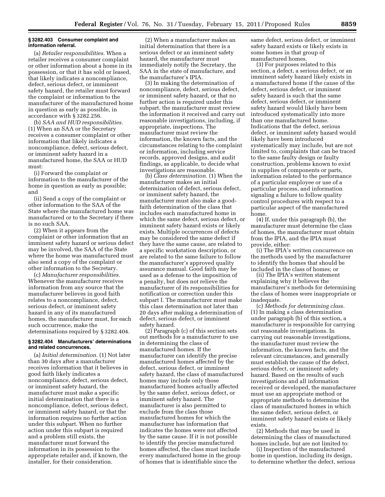#### **§ 3282.403 Consumer complaint and information referral.**

(a) *Retailer responsibilities.* When a retailer receives a consumer complaint or other information about a home in its possession, or that it has sold or leased, that likely indicates a noncompliance, defect, serious defect, or imminent safety hazard, the retailer must forward the complaint or information to the manufacturer of the manufactured home in question as early as possible, in accordance with § 3282.256.

(b) *SAA and HUD responsibilities.*  (1) When an SAA or the Secretary receives a consumer complaint or other information that likely indicates a noncompliance, defect, serious defect, or imminent safety hazard in a manufactured home, the SAA or HUD must:

(i) Forward the complaint or information to the manufacturer of the home in question as early as possible; and

(ii) Send a copy of the complaint or other information to the SAA of the State where the manufactured home was manufactured or to the Secretary if there is no such SAA.

(2) When it appears from the complaint or other information that an imminent safety hazard or serious defect may be involved, the SAA of the State where the home was manufactured must also send a copy of the complaint or other information to the Secretary.

(c) *Manufacturer responsibilities.*  Whenever the manufacturer receives information from any source that the manufacturer believes in good faith relates to a noncompliance, defect, serious defect, or imminent safety hazard in any of its manufactured homes, the manufacturer must, for each such occurrence, make the determinations required by § 3282.404.

# **§ 3282.404 Manufacturers' determinations and related concurrences.**

(a) *Initial determination.* (1) Not later than 30 days after a manufacturer receives information that it believes in good faith likely indicates a noncompliance, defect, serious defect, or imminent safety hazard, the manufacturer must make a specific initial determination that there is a noncompliance, defect, serious defect, or imminent safety hazard, or that the information requires no further action under this subpart. When no further action under this subpart is required and a problem still exists, the manufacturer must forward the information in its possession to the appropriate retailer and, if known, the installer, for their consideration.

(2) When a manufacturer makes an initial determination that there is a serious defect or an imminent safety hazard, the manufacturer must immediately notify the Secretary, the SAA in the state of manufacture, and the manufacturer's IPIA.

(3) In making the determination of noncompliance, defect, serious defect, or imminent safety hazard, or that no further action is required under this subpart, the manufacturer must review the information it received and carry out reasonable investigations, including, if appropriate, inspections. The manufacturer must review the information, the known facts, and the circumstances relating to the complaint or information, including service records, approved designs, and audit findings, as applicable, to decide what investigations are reasonable.

(b) *Class determination.* (1) When the manufacturer makes an initial determination of defect, serious defect, or imminent safety hazard, the manufacturer must also make a goodfaith determination of the class that includes each manufactured home in which the same defect, serious defect, or imminent safety hazard exists or likely exists. Multiple occurrences of defects may be considered the same defect if they have the same cause, are related to a specific workstation description, or are related to the same failure to follow the manufacturer's approved quality assurance manual. Good faith may be used as a defense to the imposition of a penalty, but does not relieve the manufacturer of its responsibilities for notification or correction under this subpart I. The manufacturer must make this class determination not later than 20 days after making a determination of defect, serious defect, or imminent safety hazard.

(2) Paragraph (c) of this section sets out methods for a manufacturer to use in determining the class of manufactured homes. If the manufacturer can identify the precise manufactured homes affected by the defect, serious defect, or imminent safety hazard, the class of manufactured homes may include only those manufactured homes actually affected by the same defect, serious defect, or imminent safety hazard. The manufacturer is also permitted to exclude from the class those manufactured homes for which the manufacturer has information that indicates the homes were not affected by the same cause. If it is not possible to identify the precise manufactured homes affected, the class must include every manufactured home in the group of homes that is identifiable since the

same defect, serious defect, or imminent safety hazard exists or likely exists in some homes in that group of manufactured homes.

(3) For purposes related to this section, a defect, a serious defect, or an imminent safety hazard likely exists in a manufactured home if the cause of the defect, serious defect, or imminent safety hazard is such that the same defect, serious defect, or imminent safety hazard would likely have been introduced systematically into more than one manufactured home. Indications that the defect, serious defect, or imminent safety hazard would likely have been introduced systematically may include, but are not limited to, complaints that can be traced to the same faulty design or faulty construction, problems known to exist in supplies of components or parts, information related to the performance of a particular employee or use of a particular process, and information signaling a failure to follow quality control procedures with respect to a particular aspect of the manufactured home.

(4) If, under this paragraph (b), the manufacturer must determine the class of homes, the manufacturer must obtain from the IPIA, and the IPIA must provide, either:

(i) The IPIA's written concurrence on the methods used by the manufacturer to identify the homes that should be included in the class of homes; or

(ii) The IPIA's written statement explaining why it believes the manufacturer's methods for determining the class of homes were inappropriate or inadequate.

(c) *Methods for determining class.*  (1) In making a class determination under paragraph (b) of this section, a manufacturer is responsible for carrying out reasonable investigations. In carrying out reasonable investigations, the manufacturer must review the information, the known facts, and the relevant circumstances, and generally must establish the cause of the defect, serious defect, or imminent safety hazard. Based on the results of such investigations and all information received or developed, the manufacturer must use an appropriate method or appropriate methods to determine the class of manufactured homes in which the same defect, serious defect, or imminent safety hazard exists or likely exists.

(2) Methods that may be used in determining the class of manufactured homes include, but are not limited to:

(i) Inspection of the manufactured home in question, including its design, to determine whether the defect, serious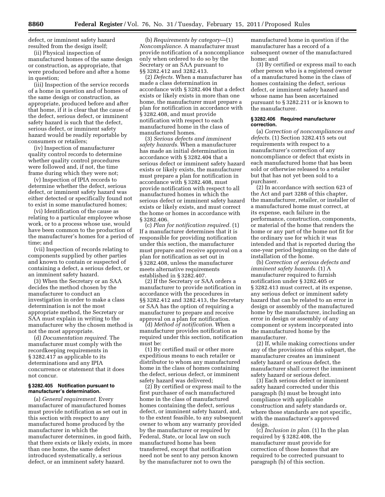defect, or imminent safety hazard resulted from the design itself;

(ii) Physical inspection of manufactured homes of the same design or construction, as appropriate, that were produced before and after a home in question;

(iii) Inspection of the service records of a home in question and of homes of the same design or construction, as appropriate, produced before and after that home, if it is clear that the cause of the defect, serious defect, or imminent safety hazard is such that the defect, serious defect, or imminent safety hazard would be readily reportable by consumers or retailers;

(iv) Inspection of manufacturer quality control records to determine whether quality control procedures were followed and, if not, the time frame during which they were not;

(v) Inspection of IPIA records to determine whether the defect, serious defect, or imminent safety hazard was either detected or specifically found not to exist in some manufactured homes;

(vi) Identification of the cause as relating to a particular employee whose work, or to a process whose use, would have been common to the production of the manufacturer's homes for a period of time; and

(vii) Inspection of records relating to components supplied by other parties and known to contain or suspected of containing a defect, a serious defect, or an imminent safety hazard.

(3) When the Secretary or an SAA decides the method chosen by the manufacturer to conduct an investigation in order to make a class determination is not the most appropriate method, the Secretary or SAA must explain in writing to the manufacturer why the chosen method is not the most appropriate.

(d) *Documentation required.* The manufacturer must comply with the recordkeeping requirements in § 3282.417 as applicable to its determinations and any IPIA concurrence or statement that it does not concur.

#### **§ 3282.405 Notification pursuant to manufacturer's determination.**

(a) *General requirement.* Every manufacturer of manufactured homes must provide notification as set out in this section with respect to any manufactured home produced by the manufacturer in which the manufacturer determines, in good faith, that there exists or likely exists, in more than one home, the same defect introduced systematically, a serious defect, or an imminent safety hazard.

(b) *Requirements by category*—(1) *Noncompliance.* A manufacturer must provide notification of a noncompliance only when ordered to do so by the Secretary or an SAA pursuant to §§ 3282.412 and 3282.413.

(2) *Defects.* When a manufacturer has made a class determination in accordance with § 3282.404 that a defect exists or likely exists in more than one home, the manufacturer must prepare a plan for notification in accordance with § 3282.408, and must provide notification with respect to each manufactured home in the class of manufactured homes.

(3) *Serious defects and imminent safety hazards.* When a manufacturer has made an initial determination in accordance with § 3282.404 that a serious defect or imminent safety hazard exists or likely exists, the manufacturer must prepare a plan for notification in accordance with § 3282.408, must provide notification with respect to all manufactured homes in which the serious defect or imminent safety hazard exists or likely exists, and must correct the home or homes in accordance with § 3282.406.

(c) *Plan for notification required.* (1) If a manufacturer determines that it is responsible for providing notification under this section, the manufacturer must prepare and receive approval on a plan for notification as set out in § 3282.408, unless the manufacturer meets alternative requirements established in § 3282.407.

(2) If the Secretary or SAA orders a manufacturer to provide notification in accordance with the procedures in §§ 3282.412 and 3282.413, the Secretary or SAA has the option of requiring a manufacturer to prepare and receive approval on a plan for notification.

(d) *Method of notification.* When a manufacturer provides notification as required under this section, notification must be:

(1) By certified mail or other more expeditious means to each retailer or distributor to whom any manufactured home in the class of homes containing the defect, serious defect, or imminent safety hazard was delivered;

(2) By certified or express mail to the first purchaser of each manufactured home in the class of manufactured homes containing the defect, serious defect, or imminent safety hazard, and, to the extent feasible, to any subsequent owner to whom any warranty provided by the manufacturer or required by Federal, State, or local law on such manufactured home has been transferred, except that notification need not be sent to any person known by the manufacturer not to own the

manufactured home in question if the manufacturer has a record of a subsequent owner of the manufactured home; and

(3) By certified or express mail to each other person who is a registered owner of a manufactured home in the class of homes containing the defect, serious defect, or imminent safety hazard and whose name has been ascertained pursuant to § 3282.211 or is known to the manufacturer.

#### **§ 3282.406 Required manufacturer correction.**

(a) *Correction of noncompliances and defects.* (1) Section 3282.415 sets out requirements with respect to a manufacturer's correction of any noncompliance or defect that exists in each manufactured home that has been sold or otherwise released to a retailer but that has not yet been sold to a purchaser.

(2) In accordance with section 623 of the Act and part 3288 of this chapter, the manufacturer, retailer, or installer of a manufactured home must correct, at its expense, each failure in the performance, construction, components, or material of the home that renders the home or any part of the home not fit for the ordinary use for which it was intended and that is reported during the one-year period beginning on the date of installation of the home.

(b) *Correction of serious defects and imminent safety hazards.* (1) A manufacturer required to furnish notification under § 3282.405 or § 3282.413 must correct, at its expense, any serious defect or imminent safety hazard that can be related to an error in design or assembly of the manufactured home by the manufacturer, including an error in design or assembly of any component or system incorporated into the manufactured home by the manufacturer.

(2) If, while making corrections under any of the provisions of this subpart, the manufacturer creates an imminent safety hazard or serious defect, the manufacturer shall correct the imminent safety hazard or serious defect.

(3) Each serious defect or imminent safety hazard corrected under this paragraph (b) must be brought into compliance with applicable construction and safety standards or, where those standards are not specific, with the manufacturer's approved design.

(c) *Inclusion in plan.* (1) In the plan required by § 3282.408, the manufacturer must provide for correction of those homes that are required to be corrected pursuant to paragraph (b) of this section.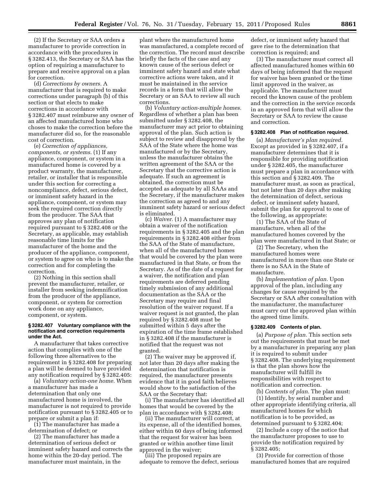(2) If the Secretary or SAA orders a manufacturer to provide correction in accordance with the procedures in § 3282.413, the Secretary or SAA has the option of requiring a manufacturer to prepare and receive approval on a plan for correction.

(d) *Corrections by owners.* A manufacturer that is required to make corrections under paragraph (b) of this section or that elects to make corrections in accordance with § 3282.407 must reimburse any owner of an affected manufactured home who choses to make the correction before the manufacturer did so, for the reasonable cost of correction.

(e) *Correction of appliances, components, or systems.* (1) If any appliance, component, or system in a manufactured home is covered by a product warranty, the manufacturer, retailer, or installer that is responsible under this section for correcting a noncompliance, defect, serious defect, or imminent safety hazard in the appliance, component, or system may seek the required correction directly from the producer. The SAA that approves any plan of notification required pursuant to § 3282.408 or the Secretary, as applicable, may establish reasonable time limits for the manufacturer of the home and the producer of the appliance, component, or system to agree on who is to make the correction and for completing the correction.

(2) Nothing in this section shall prevent the manufacturer, retailer, or installer from seeking indemnification from the producer of the appliance, component, or system for correction work done on any appliance, component, or system.

# **§ 3282.407 Voluntary compliance with the notification and correction requirements under the Act.**

A manufacturer that takes corrective action that complies with one of the following three alternatives to the requirement in § 3282.408 for preparing a plan will be deemed to have provided any notification required by § 3282.405:

(a) *Voluntary action-one home.* When a manufacturer has made a determination that only one manufactured home is involved, the manufacturer is not required to provide notification pursuant to § 3282.405 or to prepare or submit a plan if:

(1) The manufacturer has made a determination of defect; or

(2) The manufacturer has made a determination of serious defect or imminent safety hazard and corrects the home within the 20-day period. The manufacturer must maintain, in the

plant where the manufactured home was manufactured, a complete record of the correction. The record must describe briefly the facts of the case and any known cause of the serious defect or imminent safety hazard and state what corrective actions were taken, and it must be maintained in the service records in a form that will allow the Secretary or an SAA to review all such corrections.

(b) *Voluntary action-multiple homes.*  Regardless of whether a plan has been submitted under § 3282.408, the manufacturer may act prior to obtaining approval of the plan. Such action is subject to review and disapproval by the SAA of the State where the home was manufactured or by the Secretary, unless the manufacturer obtains the written agreement of the SAA or the Secretary that the corrective action is adequate. If such an agreement is obtained, the correction must be accepted as adequate by all SAAs and the Secretary, if the manufacturer makes the correction as agreed to and any imminent safety hazard or serious defect is eliminated.

(c) *Waiver.* (1) A manufacturer may obtain a waiver of the notification requirements in § 3282.405 and the plan requirements in § 3282.408 either from the SAA of the State of manufacture, when all of the manufactured homes that would be covered by the plan were manufactured in that State, or from the Secretary. As of the date of a request for a waiver, the notification and plan requirements are deferred pending timely submission of any additional documentation as the SAA or the Secretary may require and final resolution of the waiver request. If a waiver request is not granted, the plan required by § 3282.408 must be submitted within 5 days after the expiration of the time frame established in § 3282.408 if the manufacturer is notified that the request was not granted.

(2) The waiver may be approved if, not later than 20 days after making the determination that notification is required, the manufacturer presents evidence that it in good faith believes would show to the satisfaction of the SAA or the Secretary that:

(i) The manufacturer has identified all homes that would be covered by the plan in accordance with § 3282.408;

(ii) The manufacturer will correct, at its expense, all of the identified homes, either within 60 days of being informed that the request for waiver has been granted or within another time limit approved in the waiver;

(iii) The proposed repairs are adequate to remove the defect, serious defect, or imminent safety hazard that gave rise to the determination that correction is required; and

(3) The manufacturer must correct all affected manufactured homes within 60 days of being informed that the request for waiver has been granted or the time limit approved in the waiver, as applicable. The manufacturer must record the known cause of the problem and the correction in the service records in an approved form that will allow the Secretary or SAA to review the cause and correction.

# **§ 3282.408 Plan of notification required.**

(a) *Manufacturer's plan required.*  Except as provided in § 3282.407, if a manufacturer determines that it is responsible for providing notification under § 3282.405, the manufacturer must prepare a plan in accordance with this section and § 3282.409. The manufacturer must, as soon as practical, but not later than 20 days after making the determination of defect, serious defect, or imminent safety hazard, submit the plan for approval to one of the following, as appropriate:

(1) The SAA of the State of manufacture, when all of the manufactured homes covered by the plan were manufactured in that State; or

(2) The Secretary, when the manufactured homes were manufactured in more than one State or there is no SAA in the State of manufacture.

(b) *Implementation of plan.* Upon approval of the plan, including any changes for cause required by the Secretary or SAA after consultation with the manufacturer, the manufacturer must carry out the approved plan within the agreed time limits.

#### **§ 3282.409 Contents of plan.**

(a) *Purpose of plan.* This section sets out the requirements that must be met by a manufacturer in preparing any plan it is required to submit under § 3282.408. The underlying requirement is that the plan shows how the manufacturer will fulfill its responsibilities with respect to notification and correction.

(b) *Contents of plan.* The plan must:

(1) Identify, by serial number and other appropriate identifying criteria, all manufactured homes for which notification is to be provided, as determined pursuant to § 3282.404;

(2) Include a copy of the notice that the manufacturer proposes to use to provide the notification required by § 3282.405;

(3) Provide for correction of those manufactured homes that are required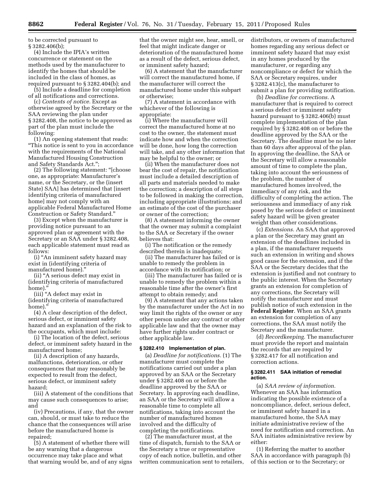to be corrected pursuant to § 3282.406(b);

(4) Include the IPIA's written concurrence or statement on the methods used by the manufacturer to identify the homes that should be included in the class of homes, as required pursuant to § 3282.404(b); and

(5) Include a deadline for completion of all notifications and corrections.

(c) *Contents of notice.* Except as otherwise agreed by the Secretary or the SAA reviewing the plan under § 3282.408, the notice to be approved as part of the plan must include the following:

(1) An opening statement that reads: ''This notice is sent to you in accordance with the requirements of the National Manufactured Housing Construction and Safety Standards Act.'';

(2) The following statement: ''[choose one, as appropriate: Manufacturer's name, or the Secretary, or the (insert State) SAA] has determined that [insert identifying criteria of manufactured home] may not comply with an applicable Federal Manufactured Home Construction or Safety Standard.''

(3) Except when the manufacturer is providing notice pursuant to an approved plan or agreement with the Secretary or an SAA under § 3282.408, each applicable statement must read as follows:

(i) ''An imminent safety hazard may exist in (identifying criteria of manufactured home).''

(ii) ''A serious defect may exist in (identifying criteria of manufactured home).'

(iii) ''A defect may exist in (identifying criteria of manufactured home)."

(4) A clear description of the defect, serious defect, or imminent safety hazard and an explanation of the risk to the occupants, which must include:

(i) The location of the defect, serious defect, or imminent safety hazard in the manufactured home;

(ii) A description of any hazards, malfunctions, deterioration, or other consequences that may reasonably be expected to result from the defect, serious defect, or imminent safety hazard;

(iii) A statement of the conditions that may cause such consequences to arise; and

(iv) Precautions, if any, that the owner can, should, or must take to reduce the chance that the consequences will arise before the manufactured home is repaired;

(5) A statement of whether there will be any warning that a dangerous occurrence may take place and what that warning would be, and of any signs

that the owner might see, hear, smell, or feel that might indicate danger or deterioration of the manufactured home as a result of the defect, serious defect, or imminent safety hazard;

(6) A statement that the manufacturer will correct the manufactured home, if the manufacturer will correct the manufactured home under this subpart or otherwise;

(7) A statement in accordance with whichever of the following is appropriate:

(i) Where the manufacturer will correct the manufactured home at no cost to the owner, the statement must indicate how and when the correction will be done, how long the correction will take, and any other information that may be helpful to the owner; or

(ii) When the manufacturer does not bear the cost of repair, the notification must include a detailed description of all parts and materials needed to make the correction; a description of all steps to be followed in making the correction, including appropriate illustrations; and an estimate of the cost of the purchaser or owner of the correction;

(8) A statement informing the owner that the owner may submit a complaint to the SAA or Secretary if the owner believes that:

(i) The notification or the remedy described therein is inadequate;

(ii) The manufacturer has failed or is unable to remedy the problem in accordance with its notification; or

(iii) The manufacturer has failed or is unable to remedy the problem within a reasonable time after the owner's first attempt to obtain remedy; and

(9) A statement that any actions taken by the manufacturer under the Act in no way limit the rights of the owner or any other person under any contract or other applicable law and that the owner may have further rights under contract or other applicable law.

#### **§ 3282.410 Implementation of plan.**

(a) *Deadline for notifications.* (1) The manufacturer must complete the notifications carried out under a plan approved by an SAA or the Secretary under § 3282.408 on or before the deadline approved by the SAA or Secretary. In approving each deadline, an SAA or the Secretary will allow a reasonable time to complete all notifications, taking into account the number of manufactured homes involved and the difficulty of completing the notifications.

(2) The manufacturer must, at the time of dispatch, furnish to the SAA or the Secretary a true or representative copy of each notice, bulletin, and other written communication sent to retailers, distributors, or owners of manufactured homes regarding any serious defect or imminent safety hazard that may exist in any homes produced by the manufacturer, or regarding any noncompliance or defect for which the SAA or Secretary requires, under § 3282.413(c), the manufacturer to submit a plan for providing notification.

(b) *Deadline for corrections.* A manufacturer that is required to correct a serious defect or imminent safety hazard pursuant to § 3282.406(b) must complete implementation of the plan required by § 3282.408 on or before the deadline approved by the SAA or the Secretary. The deadline must be no later than 60 days after approval of the plan. In approving the deadline, the SAA or the Secretary will allow a reasonable amount of time to complete the plan, taking into account the seriousness of the problem, the number of manufactured homes involved, the immediacy of any risk, and the difficulty of completing the action. The seriousness and immediacy of any risk posed by the serious defect or imminent safety hazard will be given greater weight than other considerations.

(c) *Extensions.* An SAA that approved a plan or the Secretary may grant an extension of the deadlines included in a plan, if the manufacturer requests such an extension in writing and shows good cause for the extension, and if the SAA or the Secretary decides that the extension is justified and not contrary to the public interest. When the Secretary grants an extension for completion of any corrections, the Secretary will notify the manufacturer and must publish notice of such extension in the **Federal Register**. When an SAA grants an extension for completion of any corrections, the SAA must notify the Secretary and the manufacturer.

(d) *Recordkeeping.* The manufacturer must provide the report and maintain the records that are required by § 3282.417 for all notification and correction actions.

#### **§ 3282.411 SAA initiation of remedial action.**

(a) *SAA review of information.*  Whenever an SAA has information indicating the possible existence of a noncompliance, defect, serious defect, or imminent safety hazard in a manufactured home, the SAA may initiate administrative review of the need for notification and correction. An SAA initiates administrative review by either:

(1) Referring the matter to another SAA in accordance with paragraph (b) of this section or to the Secretary; or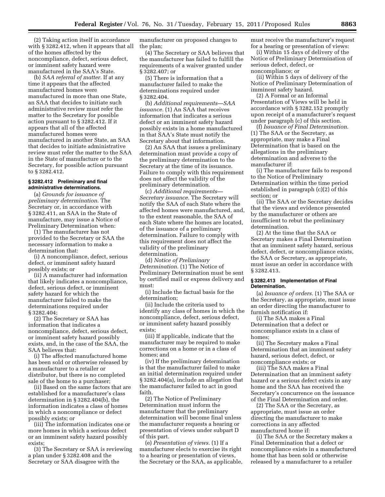(2) Taking action itself in accordance with § 3282.412, when it appears that all of the homes affected by the noncompliance, defect, serious defect, or imminent safety hazard were manufactured in the SAA's State.

(b) *SAA referral of matter.* If at any time it appears that the affected manufactured homes were manufactured in more than one State, an SAA that decides to initiate such administrative review must refer the matter to the Secretary for possible action pursuant to § 3282.412. If it appears that all of the affected manufactured homes were manufactured in another State, an SAA that decides to initiate administrative review must refer the matter to the SAA in the State of manufacture or to the Secretary, for possible action pursuant to § 3282.412.

#### **§ 3282.412 Preliminary and final administrative determinations.**

(a) *Grounds for issuance of preliminary determination.* The Secretary or, in accordance with § 3282.411, an SAA in the State of manufacture, may issue a Notice of Preliminary Determination when:

(1) The manufacturer has not provided to the Secretary or SAA the necessary information to make a determination that:

(i) A noncompliance, defect, serious defect, or imminent safety hazard possibly exists; or

(ii) A manufacturer had information that likely indicates a noncompliance, defect, serious defect, or imminent safety hazard for which the manufacturer failed to make the determinations required under § 3282.404;

(2) The Secretary or SAA has information that indicates a noncompliance, defect, serious defect, or imminent safety hazard possibly exists, and, in the case of the SAA, the SAA believes that:

(i) The affected manufactured home has been sold or otherwise released by a manufacturer to a retailer or distributor, but there is no completed sale of the home to a purchaser;

(ii) Based on the same factors that are established for a manufacturer's class determination in § 3282.404(b), the information indicates a class of homes in which a noncompliance or defect possibly exists; or

(iii) The information indicates one or more homes in which a serious defect or an imminent safety hazard possibly exists;

(3) The Secretary or SAA is reviewing a plan under § 3282.408 and the Secretary or SAA disagree with the

manufacturer on proposed changes to the plan;

(4) The Secretary or SAA believes that the manufacturer has failed to fulfill the requirements of a waiver granted under § 3282.407; or

(5) There is information that a manufacturer failed to make the determinations required under § 3282.404.

(b) *Additional requirements—SAA issuance.* (1) An SAA that receives information that indicates a serious defect or an imminent safety hazard possibly exists in a home manufactured in that SAA's State must notify the Secretary about that information.

(2) An SAA that issues a preliminary determination must provide a copy of the preliminary determination to the Secretary at the time of its issuance. Failure to comply with this requirement does not affect the validity of the preliminary determination.

(c) *Additional requirements— Secretary issuance.* The Secretary will notify the SAA of each State where the affected homes were manufactured, and, to the extent reasonable, the SAA of each State where the homes are located, of the issuance of a preliminary determination. Failure to comply with this requirement does not affect the validity of the preliminary determination.

(d) *Notice of Preliminary Determination.* (1) The Notice of Preliminary Determination must be sent by certified mail or express delivery and must:

(i) Include the factual basis for the determination;

(ii) Include the criteria used to identify any class of homes in which the noncompliance, defect, serious defect, or imminent safety hazard possibly exists;

(iii) If applicable, indicate that the manufacturer may be required to make corrections on a home or in a class of homes; and

(iv) If the preliminary determination is that the manufacturer failed to make an initial determination required under § 3282.404(a), include an allegation that the manufacturer failed to act in good faith.

(2) The Notice of Preliminary Determination must inform the manufacturer that the preliminary determination will become final unless the manufacturer requests a hearing or presentation of views under subpart D of this part.

(e) *Presentation of views.* (1) If a manufacturer elects to exercise its right to a hearing or presentation of views, the Secretary or the SAA, as applicable, must receive the manufacturer's request for a hearing or presentation of views:

(i) Within 15 days of delivery of the Notice of Preliminary Determination of serious defect, defect, or noncompliance; or

(ii) Within 5 days of delivery of the Notice of Preliminary Determination of imminent safety hazard.

(2) A Formal or an Informal Presentation of Views will be held in accordance with § 3282.152 promptly upon receipt of a manufacturer's request under paragraph (c) of this section.

(f) *Issuance of Final Determination.*  (1) The SAA or the Secretary, as appropriate, may make a Final Determination that is based on the allegations in the preliminary determination and adverse to the manufacturer if:

(i) The manufacturer fails to respond to the Notice of Preliminary Determination within the time period established in paragraph (c)(2) of this section; or

(ii) The SAA or the Secretary decides that the views and evidence presented by the manufacturer or others are insufficient to rebut the preliminary determination.

(2) At the time that the SAA or Secretary makes a Final Determination that an imminent safety hazard, serious defect, defect, or noncompliance exists, the SAA or Secretary, as appropriate, must issue an order in accordance with § 3282.413.

#### **§ 3282.413 Implementation of Final Determination.**

(a) *Issuance of orders.* (1) The SAA or the Secretary, as appropriate, must issue an order directing the manufacturer to furnish notification if:

(i) The SAA makes a Final Determination that a defect or noncompliance exists in a class of homes;

(ii) The Secretary makes a Final Determination that an imminent safety hazard, serious defect, defect, or noncompliance exists; or

(iii) The SAA makes a Final Determination that an imminent safety hazard or a serious defect exists in any home and the SAA has received the Secretary's concurrence on the issuance of the Final Determination and order.

(2) The SAA or the Secretary, as appropriate, must issue an order directing the manufacturer to make corrections in any affected manufactured home if:

(i) The SAA or the Secretary makes a Final Determination that a defect or noncompliance exists in a manufactured home that has been sold or otherwise released by a manufacturer to a retailer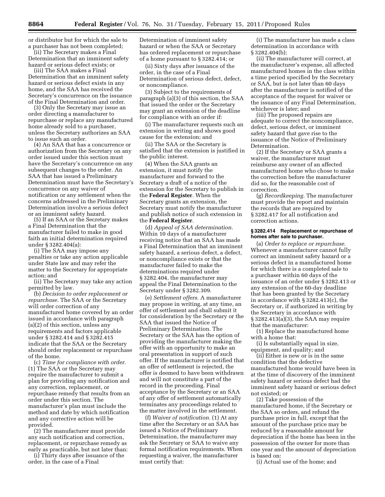or distributor but for which the sale to a purchaser has not been completed;

(ii) The Secretary makes a Final Determination that an imminent safety hazard or serious defect exists; or

(iii) The SAA makes a Final Determination that an imminent safety hazard or serious defect exists in any home, and the SAA has received the Secretary's concurrence on the issuance of the Final Determination and order.

(3) Only the Secretary may issue an order directing a manufacturer to repurchase or replace any manufactured home already sold to a purchaser, unless the Secretary authorizes an SAA to issue such an order.

(4) An SAA that has a concurrence or authorization from the Secretary on any order issued under this section must have the Secretary's concurrence on any subsequent changes to the order. An SAA that has issued a Preliminary Determination must have the Secretary's concurrence on any waiver of notification or any settlement when the concerns addressed in the Preliminary Determination involve a serious defect or an imminent safety hazard.

(5) If an SAA or the Secretary makes a Final Determination that the manufacturer failed to make in good faith an initial determination required under § 3282.404(a):

(i) The SAA may impose any penalties or take any action applicable under State law and may refer the matter to the Secretary for appropriate action; and

(ii) The Secretary may take any action permitted by law.

(b) *Decision to order replacement or repurchase.* The SAA or the Secretary will order correction of any manufactured home covered by an order issued in accordance with paragraph (a)(2) of this section, unless any requirements and factors applicable under § 3282.414 and § 3282.415 indicate that the SAA or the Secretary should order replacement or repurchase of the home.

(c) *Time for compliance with order.*  (1) The SAA or the Secretary may require the manufacturer to submit a plan for providing any notification and any correction, replacement, or repurchase remedy that results from an order under this section. The manufacturer's plan must include the method and date by which notification and any corrective action will be provided.

(2) The manufacturer must provide any such notification and correction, replacement, or repurchase remedy as early as practicable, but not later than:

(i) Thirty days after issuance of the order, in the case of a Final

Determination of imminent safety hazard or when the SAA or Secretary has ordered replacement or repurchase of a home pursuant to § 3282.414; or

(ii) Sixty days after issuance of the order, in the case of a Final Determination of serious defect, defect, or noncompliance.

(3) Subject to the requirements of paragraph (a)(3) of this section, the SAA that issued the order or the Secretary may grant an extension of the deadline for compliance with an order if:

(i) The manufacturer requests such an extension in writing and shows good cause for the extension; and

(ii) The SAA or the Secretary is satisfied that the extension is justified in the public interest.

(4) When the SAA grants an extension, it must notify the manufacturer and forward to the Secretary a draft of a notice of the extension for the Secretary to publish in the **Federal Register**. When the Secretary grants an extension, the Secretary must notify the manufacturer and publish notice of such extension in the **Federal Register**.

(d) *Appeal of SAA determination.*  Within 10 days of a manufacturer receiving notice that an SAA has made a Final Determination that an imminent safety hazard, a serious defect, a defect, or noncompliance exists or that the manufacturer failed to make the determinations required under § 3282.404, the manufacturer may appeal the Final Determination to the Secretary under § 3282.309.

(e) *Settlement offers.* A manufacturer may propose in writing, at any time, an offer of settlement and shall submit it for consideration by the Secretary or the SAA that issued the Notice of Preliminary Determination. The Secretary or the SAA has the option of providing the manufacturer making the offer with an opportunity to make an oral presentation in support of such offer. If the manufacturer is notified that an offer of settlement is rejected, the offer is deemed to have been withdrawn and will not constitute a part of the record in the proceeding. Final acceptance by the Secretary or an SAA of any offer of settlement automatically terminates any proceedings related to the matter involved in the settlement.

(f) *Waiver of notification.* (1) At any time after the Secretary or an SAA has issued a Notice of Preliminary Determination, the manufacturer may ask the Secretary or SAA to waive any formal notification requirements. When requesting a waiver, the manufacturer must certify that:

(i) The manufacturer has made a class determination in accordance with § 3282.404(b);

(ii) The manufacturer will correct, at the manufacturer's expense, all affected manufactured homes in the class within a time period specified by the Secretary or SAA, but is not later than 60 days after the manufacturer is notified of the acceptance of the request for waiver or the issuance of any Final Determination, whichever is later; and

(iii) The proposed repairs are adequate to correct the noncompliance, defect, serious defect, or imminent safety hazard that gave rise to the issuance of the Notice of Preliminary Determination.

(2) If the Secretary or SAA grants a waiver, the manufacturer must reimburse any owner of an affected manufactured home who chose to make the correction before the manufacturer did so, for the reasonable cost of correction.

(g) *Recordkeeping.* The manufacturer must provide the report and maintain the records that are required by § 3282.417 for all notification and correction actions.

#### **§ 3282.414 Replacement or repurchase of homes after sale to purchaser.**

(a) *Order to replace or repurchase.*  Whenever a manufacturer cannot fully correct an imminent safety hazard or a serious defect in a manufactured home for which there is a completed sale to a purchaser within 60 days of the issuance of an order under § 3282.413 or any extension of the 60-day deadline that has been granted by the Secretary in accordance with § 3282.413(c), the Secretary or, if authorized in writing by the Secretary in accordance with § 3282.413(a)(3), the SAA may require that the manufacturer:

(1) Replace the manufactured home with a home that:

(i) Is substantially equal in size, equipment, and quality; and

(ii) Either is new or is in the same condition that the defective manufactured home would have been in at the time of discovery of the imminent safety hazard or serious defect had the imminent safety hazard or serious defect not existed; or

(2) Take possession of the manufactured home, if the Secretary or the SAA so orders, and refund the purchase price in full, except that the amount of the purchase price may be reduced by a reasonable amount for depreciation if the home has been in the possession of the owner for more than one year and the amount of depreciation is based on:

(i) Actual use of the home; and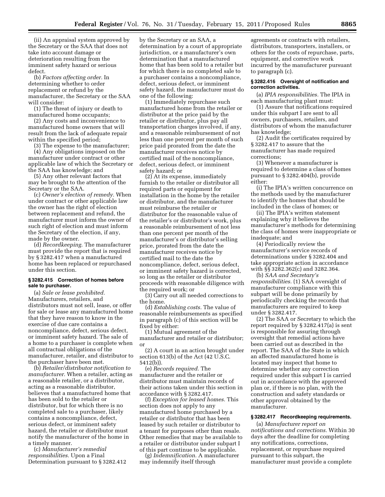(ii) An appraisal system approved by the Secretary or the SAA that does not take into account damage or deterioration resulting from the imminent safety hazard or serious defect.

(b) *Factors affecting order.* In determining whether to order replacement or refund by the manufacturer, the Secretary or the SAA will consider:

(1) The threat of injury or death to manufactured home occupants;

(2) Any costs and inconvenience to manufactured home owners that will result from the lack of adequate repair within the specified period;

(3) The expense to the manufacturer;

(4) Any obligations imposed on the manufacturer under contract or other applicable law of which the Secretary or the SAA has knowledge; and

(5) Any other relevant factors that may be brought to the attention of the Secretary or the SAA.

(c) *Owner's election of remedy.* When under contract or other applicable law the owner has the right of election between replacement and refund, the manufacturer must inform the owner of such right of election and must inform the Secretary of the election, if any, made by the owner.

(d) *Recordkeeping.* The manufacturer must provide the report that is required by § 3282.417 when a manufactured home has been replaced or repurchased under this section.

#### **§ 3282.415 Correction of homes before sale to purchaser.**

(a) *Sale or lease prohibited.*  Manufacturers, retailers, and distributors must not sell, lease, or offer for sale or lease any manufactured home that they have reason to know in the exercise of due care contains a noncompliance, defect, serious defect, or imminent safety hazard. The sale of a home to a purchaser is complete when all contractual obligations of the manufacturer, retailer, and distributor to the purchaser have been met.

(b) *Retailer/distributor notification to manufacturer.* When a retailer, acting as a reasonable retailer, or a distributor, acting as a reasonable distributor, believes that a manufactured home that has been sold to the retailer or distributor, but for which there is no completed sale to a purchaser, likely contains a noncompliance, defect, serious defect, or imminent safety hazard, the retailer or distributor must notify the manufacturer of the home in a timely manner.

(c) *Manufacturer's remedial responsibilities.* Upon a Final Determination pursuant to § 3282.412 by the Secretary or an SAA, a determination by a court of appropriate jurisdiction, or a manufacturer's own determination that a manufactured home that has been sold to a retailer but for which there is no completed sale to a purchaser contains a noncompliance, defect, serious defect, or imminent safety hazard, the manufacturer must do one of the following:

(1) Immediately repurchase such manufactured home from the retailer or distributor at the price paid by the retailer or distributor, plus pay all transportation charges involved, if any, and a reasonable reimbursement of not less than one percent per month of such price paid prorated from the date the manufacturer receives notice by certified mail of the noncompliance, defect, serious defect, or imminent safety hazard; or

(2) At its expense, immediately furnish to the retailer or distributor all required parts or equipment for installation in the home by the retailer or distributor, and the manufacturer must reimburse the retailer or distributor for the reasonable value of the retailer's or distributor's work, plus a reasonable reimbursement of not less than one percent per month of the manufacturer's or distributor's selling price, prorated from the date the manufacturer receives notice by certified mail to the date the noncompliance, defect, serious defect, or imminent safety hazard is corrected, so long as the retailer or distributor proceeds with reasonable diligence with the required work; or

(3) Carry out all needed corrections to the home.

(d) *Establishing costs.* The value of reasonable reimbursements as specified in paragraph (c) of this section will be fixed by either:

(1) Mutual agreement of the manufacturer and retailer or distributor; or

(2) A court in an action brought under section 613(b) of the Act (42 U.S.C. 5412(b)).

(e) *Records required.* The manufacturer and the retailer or distributor must maintain records of their actions taken under this section in accordance with § 3282.417.

(f) *Exception for leased homes.* This section does not apply to any manufactured home purchased by a retailer or distributor that has been leased by such retailer or distributor to a tenant for purposes other than resale. Other remedies that may be available to a retailer or distributor under subpart I of this part continue to be applicable.

(g) *Indemnification.* A manufacturer may indemnify itself through

agreements or contracts with retailers, distributors, transporters, installers, or others for the costs of repurchase, parts, equipment, and corrective work incurred by the manufacturer pursuant to paragraph (c).

#### **§ 3282.416 Oversight of notification and correction activities.**

(a) *IPIA responsibilities.* The IPIA in each manufacturing plant must:

(1) Assure that notifications required under this subpart I are sent to all owners, purchasers, retailers, and distributors of whom the manufacturer has knowledge;

(2) Audit the certificates required by § 3282.417 to assure that the manufacturer has made required corrections;

(3) Whenever a manufacturer is required to determine a class of homes pursuant to § 3282.404(b), provide either:

(i) The IPIA's written concurrence on the methods used by the manufacturer to identify the homes that should be included in the class of homes; or

(ii) The IPIA's written statement explaining why it believes the manufacturer's methods for determining the class of homes were inappropriate or inadequate; and

(4) Periodically review the manufacturer's service records of determinations under § 3282.404 and take appropriate action in accordance with §§ 3282.362(c) and 3282.364.

(b) *SAA and Secretary's responsibilities.* (1) SAA oversight of manufacturer compliance with this subpart will be done primarily by periodically checking the records that manufacturers are required to keep under § 3282.417.

(2) The SAA or Secretary to which the report required by § 3282.417(a) is sent is responsible for assuring through oversight that remedial actions have been carried out as described in the report. The SAA of the State in which an affected manufactured home is located may inspect that home to determine whether any correction required under this subpart I is carried out in accordance with the approved plan or, if there is no plan, with the construction and safety standards or other approval obtained by the manufacturer.

## **§ 3282.417 Recordkeeping requirements.**

(a) *Manufacturer report on notifications and corrections.* Within 30 days after the deadline for completing any notifications, corrections, replacement, or repurchase required pursuant to this subpart, the manufacturer must provide a complete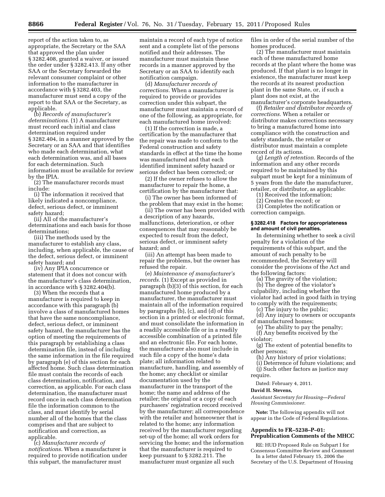report of the action taken to, as appropriate, the Secretary or the SAA that approved the plan under § 3282.408, granted a waiver, or issued the order under § 3282.413. If any other SAA or the Secretary forwarded the relevant consumer complaint or other information to the manufacturer in accordance with § 3282.403, the manufacturer must send a copy of the report to that SAA or the Secretary, as applicable.

(b) *Records of manufacturer's determinations.* (1) A manufacturer must record each initial and class determination required under § 3282.404, in a manner approved by the Secretary or an SAA and that identifies who made each determination, what each determination was, and all bases for each determination. Such information must be available for review by the IPIA.

(2) The manufacturer records must include:

(i) The information it received that likely indicated a noncompliance, defect, serious defect, or imminent safety hazard;

(ii) All of the manufacturer's determinations and each basis for those determinations;

(iii) The methods used by the manufacturer to establish any class, including, when applicable, the cause of the defect, serious defect, or imminent safety hazard; and

(iv) Any IPIA concurrence or statement that it does not concur with the manufacturer's class determination, in accordance with § 3282.404(b).

(3) When the records that a manufacturer is required to keep in accordance with this paragraph (b) involve a class of manufactured homes that have the same noncompliance, defect, serious defect, or imminent safety hazard, the manufacturer has the option of meeting the requirements of this paragraph by establishing a class determination file, instead of including the same information in the file required by paragraph (e) of this section for each affected home. Such class determination file must contain the records of each class determination, notification, and correction, as applicable. For each class determination, the manufacturer must record once in each class determination file the information common to the class, and must identify by serial number all of the homes that the class comprises and that are subject to notification and correction, as applicable.

(c) *Manufacturer records of notifications.* When a manufacturer is required to provide notification under this subpart, the manufacturer must

maintain a record of each type of notice sent and a complete list of the persons notified and their addresses. The manufacturer must maintain these records in a manner approved by the Secretary or an SAA to identify each notification campaign.

(d) *Manufacturer records of corrections.* When a manufacturer is required to provide or provides correction under this subpart, the manufacturer must maintain a record of one of the following, as appropriate, for each manufactured home involved:

(1) If the correction is made, a certification by the manufacturer that the repair was made to conform to the Federal construction and safety standards in effect at the time the home was manufactured and that each identified imminent safety hazard or serious defect has been corrected; or

(2) If the owner refuses to allow the manufacturer to repair the home, a certification by the manufacturer that:

(i) The owner has been informed of the problem that may exist in the home;

(ii) The owner has been provided with a description of any hazards, malfunctions, deterioration, or other consequences that may reasonably be expected to result from the defect, serious defect, or imminent safety hazard; and

(iii) An attempt has been made to repair the problems, but the owner has refused the repair.

(e) *Maintenance of manufacturer's records.* (1) Except as provided in paragraph (b)(3) of this section, for each manufactured home produced by a manufacturer, the manufacturer must maintain all of the information required by paragraphs (b), (c), and (d) of this section in a printed or electronic format, and must consolidate the information in a readily accessible file or in a readily accessible combination of a printed file and an electronic file. For each home, the manufacturer also must include in such file a copy of the home's data plate; all information related to manufacture, handling, and assembly of the home; any checklist or similar documentation used by the manufacturer in the transport of the home; the name and address of the retailer; the original or a copy of each purchasers' registration record received by the manufacturer; all correspondence with the retailer and homeowner that is related to the home; any information received by the manufacturer regarding set-up of the home; all work orders for servicing the home; and the information that the manufacturer is required to keep pursuant to § 3282.211. The manufacturer must organize all such

files in order of the serial number of the homes produced.

(2) The manufacturer must maintain each of these manufactured home records at the plant where the home was produced. If that plant is no longer in existence, the manufacturer must keep the records at its nearest production plant in the same State, or, if such a plant does not exist, at the manufacturer's corporate headquarters.

(f) *Retailer and distributor records of corrections.* When a retailer or distributor makes corrections necessary to bring a manufactured home into compliance with the construction and safety standards, the retailer or distributor must maintain a complete record of its actions.

(*g*) *Length of retention.* Records of the information and any other records required to be maintained by this subpart must be kept for a minimum of 5 years from the date the manufacturer, retailer, or distributor, as applicable:

(1) Received the information;

(2) Creates the record; or

(3) Completes the notification or correction campaign.

#### **§ 3282.418 Factors for appropriateness and amount of civil penalties.**

In determining whether to seek a civil penalty for a violation of the requirements of this subpart, and the amount of such penalty to be recommended, the Secretary will consider the provisions of the Act and the following factors:

(a) The gravity of the violation;

(b) The degree of the violator's culpability, including whether the violator had acted in good faith in trying to comply with the requirements;

(c) The injury to the public;

(d) Any injury to owners or occupants of manufactured homes;

(e) The ability to pay the penalty; (f) Any benefits received by the

violator; (g) The extent of potential benefits to

other persons;

(h) Any history of prior violations;

(i) Deterrence of future violations; and (j) Such other factors as justice may require.

Dated: February 4, 2011.

#### **David H. Stevens,**

*Assistant Secretary for Housing—Federal Housing Commissioner.* 

**Note:** The following appendix will not appear in the Code of Federal Regulations.

## **Appendix to FR–5238–P–01: Prepublication Comments of the MHCC**

RE: HUD Proposed Rule on Subpart I for Consensus Committee Review and Comment

In a letter dated February 15, 2006 the Secretary of the U.S. Department of Housing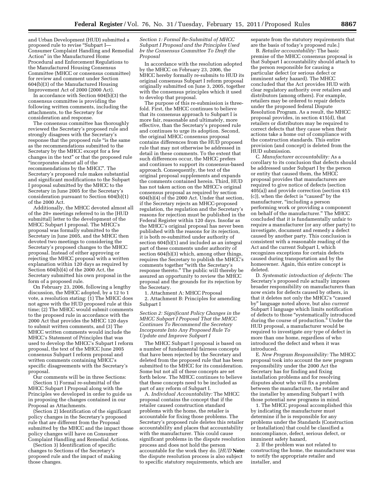and Urban Development (HUD) submitted a proposed rule to revise "Subpart I-Consumer Complaint Handling and Remedial Action'' in the Manufactured Home Procedural and Enforcement Regulations to the Manufactured Housing Consensus Committee (MHCC or consensus committee) for review and comment under Section 604(b)(3) of the Manufactured Housing Improvement Act of 2000 (2000 Act).

In accordance with Section 604(b)(3) the consensus committee is providing the following written comments, including the attachments, to the Secretary for consideration and response.

The consensus committee has thoroughly reviewed the Secretary's proposed rule and strongly disagrees with the Secretary's response that the proposed rule ''is the same as the recommendations submitted to the Secretary by the MHCC except for a few changes in the text'' or that the proposed rule ''incorporates almost all of the recommendations by the MHCC''. The Secretary's proposed rule makes substantial and significant modifications to the Subpart I proposal submitted by the MHCC to the Secretary in June 2005 for the Secretary's consideration pursuant to Section 604(b)(1) of the 2000 Act.

Additionally, the MHCC devoted almost all of the 20+ meetings referred to in the [HUD submittal] letter to the development of the MHCC Subpart I proposal. The MHCC's proposal was formally submitted to the Secretary in June 2005, and the MHCC then devoted two meetings to considering the Secretary's proposed changes to the MHCC proposal. Instead of either approving or rejecting the MHCC proposal with a written explanation within 120 days as required by Section 604(b)(4) of the 2000 Act, the Secretary submitted his own proposal in the form of a proposed rule.

On February 23, 2006, following a lengthy discussion, the MHCC adopted, by a 12 to 1 vote, a resolution stating: (1) The MHCC does not agree with the HUD proposed rule at this time; (2) The MHCC would submit comments to the proposed rule in accordance with the 2000 Act that provides the MHCC 120 days to submit written comments, and (3) The MHCC written comments would include the MHCC's Statement of Principles that was used to develop the MHCC's Subpart I reform proposal, the text of the MHCC June 2005 consensus Subpart I reform proposal and written comments containing MHCC's specific disagreements with the Secretary's proposal.

Our comments will be in three Sections: (Section 1) Formal re-submittal of the MHCC Subpart I Proposal along with the Principles we developed in order to guide us in proposing the changes contained in our Proposal as Attachments.

(Section 2) Identification of the significant policy changes in the Secretary's proposed rule that are different from the Proposal submitted by the MHCC and the impact those policy changes will have on Consumer Complaint Handling and Remedial Actions.

(Section 3) Identification of specific changes to Sections of the Secretary's proposed rule and the impact of making those changes.

*Section 1: Formal Re-Submittal of MHCC Subpart I Proposal and the Principles Used bv the Consensus Committee To Draft the Proposal* 

In accordance with the resolution adopted by the MHCC on February 23, 2006, the MHCC hereby formally re-submits to HUD its original consensus Subpart I reform proposal originally submitted on June 3, 2005, together with the consensus principles which it used to develop that proposal.

The purpose of this re-submission is threefold. First, the MHCC continues to believe that its consensus approach to Subpart I is more fair, reasonable and ultimately, more effective, than the Secretary's proposed rule and continues to urge its adoption. Second, the original MHCC consensus proposal contains differences from the HUD proposed rule that may not otherwise be addressed in detail in these comments. To the extent that such differences occur, the MHCC prefers and continues to support its consensus-based approach. Consequently, the text of the original proposal supplements and expands the comments contained herein. Third, HUD has not taken action on the MHCC's original consensus proposal as required by section  $604(b)(4)$  of the 2000 Act. Under that section, if the Secretary rejects an MHCC-proposed regulation, the regulation and the Secretary's reasons for rejection must be published in the Federal Register within 120 days. Insofar as the MHCC's original proposal has never been published with the reasons for its rejection, it is both re-submitted under authority of section 604(b)(1) and included as an integral part of these comments under authority of section 604(b)(3) which, among other things, requires the Secretary to publish the MHCC's comments together ''with the Secretary's response thereto.'' The public will thereby be assured an opportunity to review the MHCC proposal and the grounds for its rejection by the Secretary.

1. Attachment A: MHCC Proposal

2. Attachment B: Principles for amending Subpart I

*Section 2: Significant Policy Changes in the MHCC Subpart I Proposal That the MHCC Continues To Recommend the Secretary Incorporate Into Any Proposed Rule To Update and Improve Subpart I* 

The MHCC Subpart I proposal is based on a number of fundamental fairness concepts that have been rejected by the Secretary and deleted from the proposed rule that has been submitted to the MHCC for its consideration. Some but not all of these concepts are set forth below. The MHCC continues to believe that these concepts need to be included as part of any reform of Subpart I.

A. *Individual Accountability:* The MHCC proposal contains the concept that if the retailer caused construction standard problems with the home, the retailer is accountable for fixing those problems. The Secretary's proposed rule deletes this retailer accountability and places that accountability with the manufacturer. This could cause significant problems in the dispute resolution process and does not hold the person accountable for the work they do. [*HUD* **Note:**  the dispute resolution process is also subject to specific statutory requirements, which are

separate from the statutory requirements that are the basis of today's proposed rule.]

B. *Retailer accountability:* The basic premise of the MHCC consensus proposal is that Subpart I accountability should attach to the person responsible for causing a particular defect (or serious defect or imminent safety hazard). The MHCC concluded that the Act provides HUD with clear regulatory authority over retailers and distributors (among others). For example, retailers may be ordered to repair defects under the proposed federal Dispute Resolution Program. As a result, the MHCC proposal provides, in section 415(d), that retailers or distributors may be required to correct defects that they cause when their actions take a home out of compliance with the construction standards. This entire provision (and concept) is deleted from the HUD submission.

C. *Manufacturer accountability:* As a corollary to its conclusion that defects should be addressed under Subpart I by the person or entity that caused them, the MHCC proposal provides that manufacturers are required to give notice of defects (section 405(a)) and provide correction (section 415 (c)), when the defect is ''caused'' by the manufacturer, "including a person performing work or providing a component on behalf of the manufacturer.'' The MHCC concluded that it is fundamentally unfair to require a manufacturer (or any other party) to investigate, document and remedy a defect caused by another party. This conclusion is consistent with a reasonable reading of the Act and the current Subpart I, which recognizes exceptions for certain defects caused during transportation and by the homeowner. Again, this entire concept is deleted.

D. *Systematic introduction of defects:* The Secretary's proposed rule actually imposes broader responsibility on manufacturers than now exists for defects caused by others, in that it deletes not only the MHCC's ''caused by'' language noted above, but also *current*  Subpart I language which limits notification of defects to those ''systematically introduced during the course of production.'' Under the HUD proposal, a manufacturer would be required to investigate *any* type of defect in more than one home, regardless of who introduced the defect and when it was introduced.

E. *New Program Responsibility:* The MHCC proposal took into account the new program responsibility under the 2000 Act the Secretary has for finding and fixing installation problems and for resolving disputes about who will fix a problem between the manufacturer, the retailer and the installer by amending Subpart I with those potential new programs in mind.

1. The MHCC proposal accomplished this by indicating the manufacturer must determine if he is responsible for any problems under the Standards (Construction or Installation) that could be classified a noncompliance, defect, serious defect, or imminent safety hazard,

2. If the problem was not related to constructing the home, the manufacturer was to notify the appropriate retailer and installer, and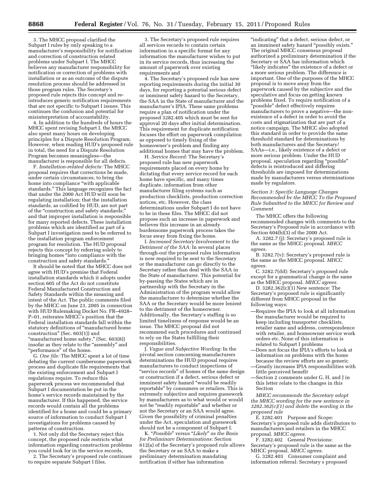3. The MHCC proposal clarified the Subpart I rules by only speaking to a manufacturer's responsibility for notification and correction of construction related problems under Subpart I. The MHCC believes any manufacturer responsibility for notification or correction of problems with installation or as an outcome of the dispute resolution process should be addressed in those program rules. The Secretary's proposed rule rejects this concept and reintroduces generic notification requirements that are not specific to Subpart I issues. This continues the confusion and potential for misinterpretation of accountability.

4. In addition to the hundreds of hours the MHCC spent revising Subpart I, the MHCC also spent many hours on developing principles for a Dispute Resolution Program. However, when reading HUD's proposed rule in total, the need for a Dispute Resolution Program becomes meaningless—the manufacturer is responsible for all defects.

F. *Installation-related defects:* The MHCC proposal requires that corrections be made, under certain circumstances, to bring the home into compliance ''with applicable standards.'' This language recognizes the fact that under the 2000 Act HUD will soon be regulating installation; that the installation standards, as codified by HUD, are not part of the ''construction and safety standards;'' and that improper installation is responsible for many reported defects. These installation problems which are identified as part of a Subpart I investigation need to be referred to the installation program enforcement program for resolution. The HUD proposal rejects this concept by referring solely to bringing homes "into compliance with the construction and safety standards.''

It should be noted that the MHCC does not agree with HUD's premise that Federal installation standards which it adopts under section 605 of the Act do not constitute Federal Manufactured Construction and Safety Standards within the meaning and intent of the Act. The public comments filed by the MHCC on June 23, 2005 in connection with HUD Rulemaking Docket No. FR–4928– P–01, reiterates MHCC's position that the Federal installation standards fall within the statutory definitions of ''manufactured home construction'' (Sec. 603(1)) and "manufactured home safety," (Sec. 603(8)) insofar as they relate to the ''assembly'' and ''performance'' of the home.

G. *One file:* The MHCC spent a lot of time debating the current cumbersome paperwork process and duplicate file requirements that the existing enforcement and Subpart I regulations require. To reduce this paperwork process we recommended that Subpart I documentation be put in the home's service records maintained by the manufacturer. If this happened, the service records would contain all the problems identified for a home and could be a primary source of information to conduct Subpart I investigations for problems caused by patterns of construction.

1. Not only did the Secretary reject this concept, the proposed rule restricts what information regarding construction problems you could look for in the service records,

2. The Secretary's proposed rule continues to require separate Subpart I files,

3. The Secretary's proposed rule requires all services records to contain certain information in a specific format for any information the manufacturer wishes to put in its service records, thus increasing the amount of paperwork over existing requirements and

4. The Secretary's proposed rule has new reporting requirements during the initial 30 days, for reporting a potential serious defect or imminent safety hazard to the Secretary, the SAA in the State of manufacturer and the manufacturer's IPIA. These same problems require a plan of notification under the proposed 3282.405 which must be sent for approval 20 days after initial determination. This requirement for duplicate notification focuses the effort on paperwork compilation as opposed to timely fixing of the homeowner's problem and finding any additional homes that may have the problem.

H. *Service Record:* The Secretary's proposed rule has new paperwork requirements placed on every home by dictating that every service record for each home have specific, and many times duplicate, information from other manufacturer filing systems such as production checklists, production correction notices, etc. However, the class determinations under Subpart I do not have to be in these files. The MHCC did not propose such an increase in paperwork and believes this increase in an already burdensome paperwork process takes the focus away from fixing the home.

I. *Increased Secretary Involvement to the Detriment of the SAA:* In several places through-out the proposed rules information is now required to be sent to the Secretary or the manufacturer can go directly to the Secretary rather than deal with the SAA in the State of manufacturer. This potential for by-passing the States which are in partnership with the Secretary in the Administration of the program would allow the manufacturer to determine whether the SAA or the Secretary would be more lenient to the detriment of the homeowner. Additionally, the Secretary's staffing is so limited timeliness of response would be an issue. The MHCC proposal did not recommend such procedures and continued to rely on the States fulfilling their responsibilities.

J. *Vague and Subjective Wording:* In the pivotal section concerning manufacturers determinations the HUD proposal requires manufacturers to conduct inspections of "service records" of homes of the same design or construction if a defect, serious defect or imminent safety hazard ''would be readily reportable'' by consumers or retailers. This is extremely subjective and requires guesswork by manufacturers as to what would or would not be "readily reportable" and whether or not the Secretary or an SAA would agree. Given the possibility of criminal penalties under the Act, speculation and guesswork should not be a component of Subpart I.

K. ''*Possible*'' *versus* ''*Likely*'' *as the Basis for Preliminarv Determinations:* Section 612(a) of the Secretary's proposed rule allows the Secretary or an SAA to make a preliminary determination mandating notification if either has information

''indicating'' that a defect, serious defect, or an imminent safety hazard ''possibly exists.'' The original MHCC consensus proposal authorized a preliminary determination if the Secretary or SAA has information which "likely indicates" the existence of a defect or a more serious problem. The difference is important. One of the purposes of the MHCC proposal is to move away from the paperwork caused by the subjective and the speculative and focus on getting known problems fixed. To require notification of a 'possible" defect effectively requires manufacturers to prove a negative—the nonexistence of a defect in order to avoid the costs and stigmatization that are part of a notice campaign. The MHCC also adopted this standard in order to provide the same threshold standard for determinations by both manufacturers and the Secretary/ SAAs—i.e., likely existence of a defect or more serious problem. Under the HUD proposal, speculation regarding ''possible'' defects is reintroduced and differing thresholds are imposed for determinations made by manufacturers versus eterminations made by regulators.

*Section 3: Specific Language Changes Recommended bv the MHCC To the Proposed Rule Submitted to the MHCC for Review and Comment* 

The MHCC offers the following recommended changes with comments to the Secretary's Proposed rule in accordance with Section 604(b)(3) of the 2000 Act.

A. 3282.7 (j): Secretary's proposed rule is the same as the MHCC proposal. *MHCC agrees.* 

B. 3282.7(v): Secretary's proposed rule is the same as the MHCC proposal. *MHCC agrees.* 

C. 3282.7(dd): Secretary's proposed rule except for a grammatical change is the same as the MHCC proposal. *MHCC agrees.* 

D.  $3282.362(c)(1)$  New sentence: The Secretary's proposed rule is significantly different from MHCC proposal in the following ways:

- —Requires the IPIA to look at all information the manufacturer would be required to keep including transporter checklists, retailer name and address, correspondence with retailer, and homeowner service work orders etc. None of this information is related to Subpart I problems
- —Does not focus the IPIA's efforts to look at information on problems with the home because the review efforts are so generic
- —Greatly increases IPIA responsibilities with little perceived benefit
- —Section 2 comments under G, H, and J in this letter relate to the changes in this Section

*MHCC recommends the Secretary adopt the MHCC wording for the new sentence in 3282.362(c)(1) and delete the wording in the proposed rule* 

E. 3282.401 Purpose and Scope: Secretary's proposed rule adds distributors to manufacturers and retailers in the MHCC proposal. *MHCC agrees.* 

F. 3282.402 General Provisions: Secretary's proposed rule is the same as the MHCC proposal. *MHCC agrees.* 

G. 3282.403 Consumer complaint and information referral: Secretary s proposed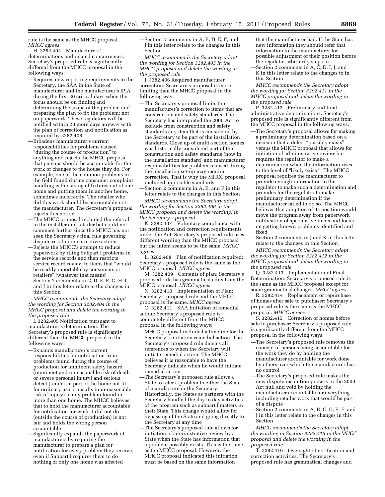rule is the same as the MHCC proposal. *MHCC agrees.* 

H. 3282.404 Manufacturers' determinations and related concurrences: Secretary's proposed rule is significantly different from the MHCC proposal in the following ways:

- —Requires new reporting requirements to the Secretary, the SAA in the State of manufacturer and the manufacturer's IPIA during the first 30 critical days when the focus should be on finding and determining the scope of the problem and preparing the plan to fix the problem; not on paperwork. These regulators will be notified within 20 more days anyway with the plan of correction and notification as required by 3282.408
- —Broadens manufacturer's current responsibilities for problems caused ''during the course of production'' to anything and rejects the MHCC proposal that persons should be accountable for the work or changes to the house they do. For example, one of the common problems in the field found during consumer complaint handling is the taking of fixtures out of one home and putting them in another home, sometimes incorrectly. The retailer who did this work should be accountable not the manufacturer. The Secretary's proposal rejects this notion
- —The MHCC proposal included the referral to the installer and retailer but could not comment further since the MHCC has not seen the Secretary's final rule governing dispute resolution corrective actions
- —Rejects the MHCC's attempt to reduce paperwork by riling Subpart I problems in the service records and then restricts service record review to items that ''would be readily reportable by consumers or retailers" (whatever that means)
- —Section 2 comments in C, D, E, F, G, H, I, and J in this letter relate to the changes in this Section

*MHCC recommends the Secretary adopt the wording for Section 3282.404 in the MHCC proposal and delete the wording in the proposed rule* 

I. 3282.405 Notification pursuant to manufacturer s determination: The Secretary's proposed rule is significantly different than the MHCC proposal in the following ways:

- —Expands manufacturer's current responsibilities for notification from problems found during the course of production for imminent safety hazard (imminent and unreasonable risk of death or severe personal injury) and serious defect (renders a part of the home not fit for ordinary use or results in unreasonable risk of injury) to any problem found in more than one home. The MHCC believes that to hold the manufacturer accountable for notification for work it did not do (outside the course of production) is not fair and holds the wrong person accountable
- —Significantly expands the paperwork of manufacturers by requiring the manufacturer to prepare a plan for notification for every problem they receive, even if Subpart I requires them to do nothing or only one home was affected

—Section 2 comments in A, B, D, E, F, and J in this letter relate to the changes in this Section

*MHCC recommends the Secretary adopt the wording for Section 3282.405 in the MHCC proposal and delete the wording in the proposed rule* 

J. 3282.406 Required manufacturer correction: Secretary's proposal is more limiting than the MHCC proposal in the following way:

- —The Secretary's proposal limits the manufacturer's correction to items that are construction and safety standards. The Secretary has interpreted the 2000 Act to exclude from construction and safety standards any item that is considered by the Secretary to be part of the installation standards. Close up of multi-section homes was historically considered part of the construction and safety standards (now in the installation standard) and manufacturer responsibilities for problems caused during the installation set-up may require correction. That is why the MHCC proposal included applicable standards
- —Section 2 comments in A, E, and F in this letter relate to the changes in this Section

*MHCC recommends the Secretary adopt the wording for Section 3282.406 in the MHCC proposal and delete the wording! in the Secretary's proposal* 

K. 3282.407 Voluntary compliance with the notification and correction requirements under the Act: Secretary's proposed rule uses different wording than the MHCC proposal but the intent seems to be the same. *MHCC agrees* 

L. 3282.408 Plan of notification required: Secretary's proposed rule is the same as the MHCC proposal. *MHCC agrees* 

M. 3282.409 Contents of plan: Secretary's proposed rule has grammatical edits from the MHCC proposal. *MHCC agrees* 

N. 3282.410 Implementation of Plan: Secretary's proposed rule and the MHCC proposal is the same. *MHCC agrees* 

O. 3282.411 SAA Initiation of remedial action: Secretary's proposed rule is completely different from the MHCC proposal in the following ways:

- —MHCC proposal included a timeline for the Secretary's initiation remedial action. The Secretary's proposed rule deletes all references to when the Secretary will initiate remedial action. The MHCC believes it is reasonable to have the Secretary indicate when he would initiate remedial action
- —The Secretary's proposed rule allows a State to refer a problem to either the State of manufacture or the Secretary. Historically, the States as partners with the Secretary handled the day to day activities of the program such as subpart I matters in their State. This change would allow for bypassing of the State and going directly to the Secretary at any time
- —The Secretary's proposed rule allows for initiation of administrative review by a State when the State has information that a problem possibly exists. This is the same as the MHCC proposal. However, the MHCC proposal indicated this initiation must be based on the same information

that the manufacturer had. If the State has new information they should refer that information to the manufacturer for possible adjustment of their position before the regulator arbitrarily steps in

—Section 2 comments in A, C, D, I, J, and K in this letter relate to the changes to in this Section

*MHCC recommends the Secretary adopt the wording for Section 3292.411 in the MHCC proposal and delete the wording in the proposed rule* 

P. 3282.412 Preliminary and final administrative determinations: Secretary's proposed rule is significantly different from the MHCC proposal in the following ways:

—The Secretary's proposal allows for making a preliminary determination based on a decision that a defect "possibly exists" versus the MHCC proposal that allows for initiation of administrative review but requires the regulator to make a determination when the information rises to the level of ''likely exists''. The MHCC proposal requires the manufacturer to provide enough information to the regulator to make such a determination and provides for the regulator to make preliminary determination if the manufacturer failed to do so. The MHCC believes that adoption of its position would move the program away from paperwork notification of speculative items and focus on getting known problems identified and fixed

—Section 2 comments in J and K in this letter relate to the changes in this Section

*MHCC recommends the Secretary adopt the wording for Section 3282.412 in the MHCC proposal and delete the wording in the proposed rule* 

Q. 3282.413 Implementation of Final Determination: Secretary's proposed rule is the same as the MHCC proposal except for some grammatical changes. *MHCC agrees* 

R. 3282.414 Replacement or repurchase of homes after sale to purchaser: Secretary's proposed rule is the same as the MHCC proposal. *MHCC agrees* 

S. 3282.415 Correction of homes before sale to purchaser: Secretary's proposed rule is significantly different from the MHCC proposal in the following ways:

- —The Secretary's proposed rule removes the concept of persons being accountable for the work they do by holding the manufacturer accountable for work done by others over which the manufacturer has no control
- —The Secretary's proposed rule makes the new dispute resolution process in the 2000 Act null and void by holding the manufacturer accountable for everything including retailer work that would be part of a dispute
- —Section 2 comments in A, B, C, D, E, F, and J in this letter relate to the changes in this Section

*MHCC recommends the Secretary adopt the wording in Section 3282.415 in the MHCC proposal and delete the wording in the proposed rule* 

T. 3282.416 Oversight of notification and correction activities: The Secretary's proposed rule has grammatical changes and